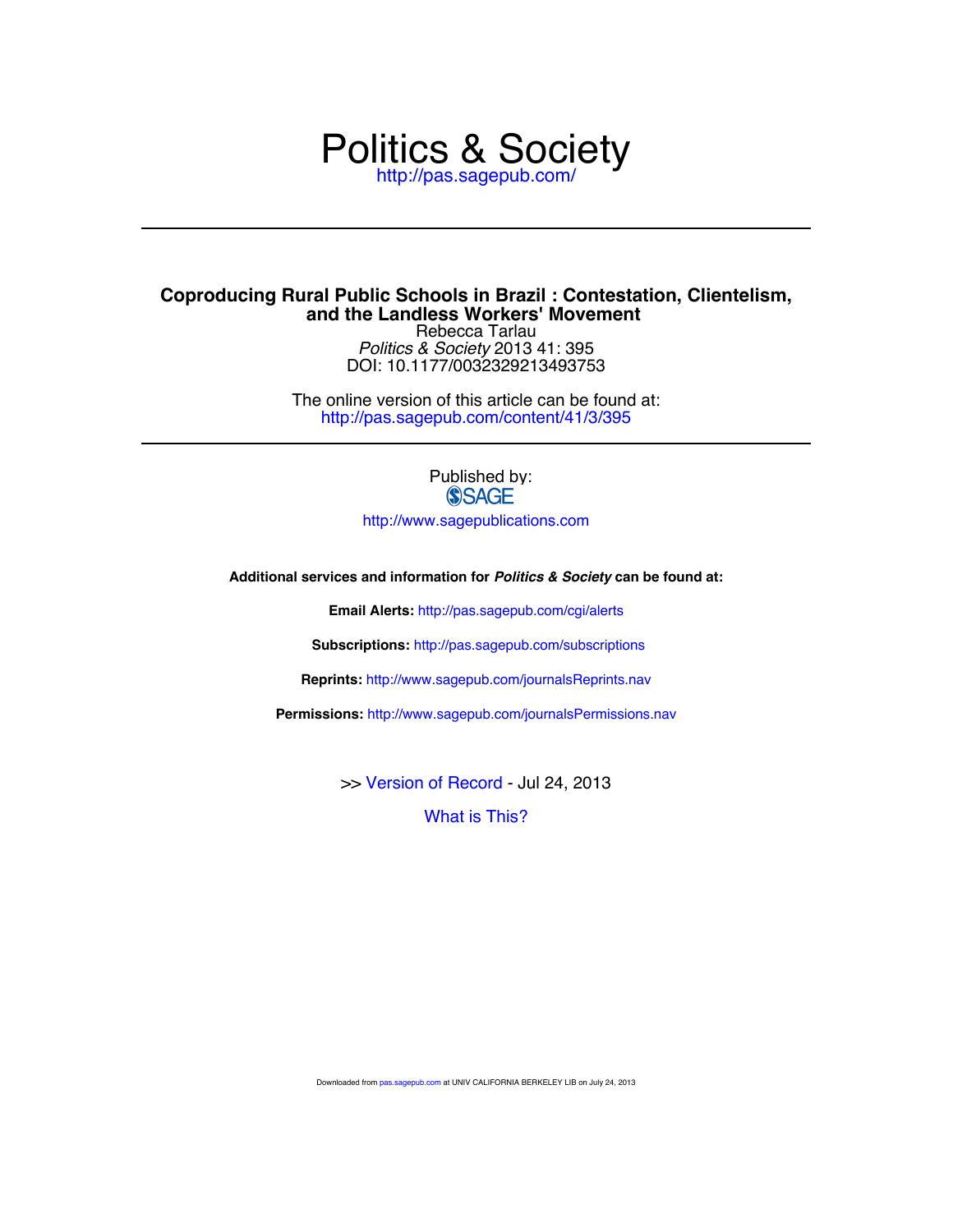# Politics & Society

http://pas.sagepub.com/

# **and the Landless Workers' Movement Coproducing Rural Public Schools in Brazil : Contestation, Clientelism,**

DOI: 10.1177/0032329213493753 *Politics & Society* 2013 41: 395 Rebecca Tarlau

http://pas.sagepub.com/content/41/3/395 The online version of this article can be found at:

Published by:<br>
SAGE

http://www.sagepublications.com

**Additional services and information for** *Politics & Society* **can be found at:**

**Email Alerts:** http://pas.sagepub.com/cgi/alerts

**Subscriptions:** http://pas.sagepub.com/subscriptions

**Reprints:** http://www.sagepub.com/journalsReprints.nav

**Permissions:** http://www.sagepub.com/journalsPermissions.nav

>> Version of Record - Jul 24, 2013

What is This?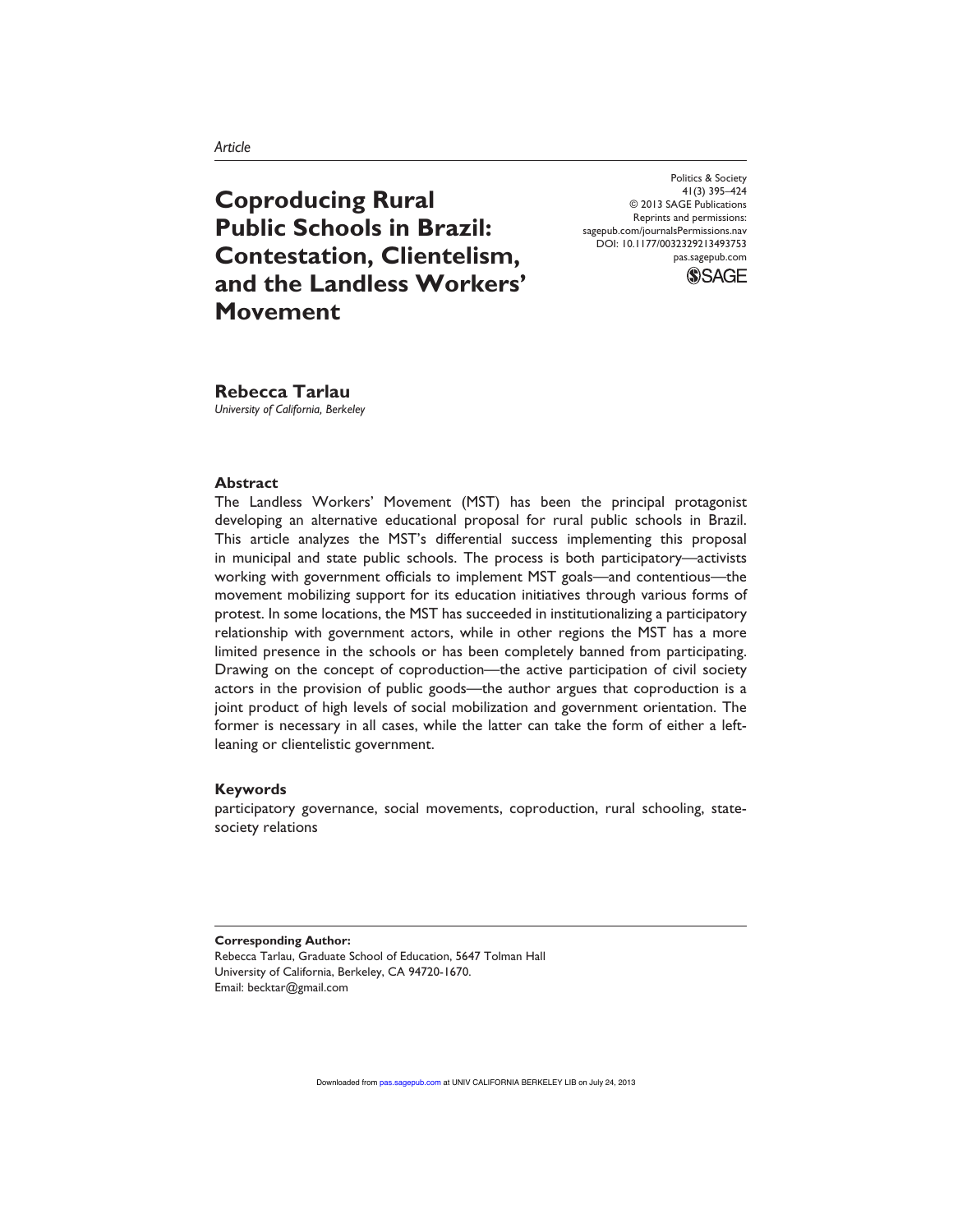**Coproducing Rural Public Schools in Brazil: Contestation, Clientelism, and the Landless Workers' Movement**

Politics & Society 41(3) 395–424 © 2013 SAGE Publications Reprints and permissions: sagepub.com/journalsPermissions.nav DOI: 10.1177/0032329213493753 pas.sagepub.com



**Rebecca Tarlau** *University of California, Berkeley*

#### **Abstract**

The Landless Workers' Movement (MST) has been the principal protagonist developing an alternative educational proposal for rural public schools in Brazil. This article analyzes the MST's differential success implementing this proposal in municipal and state public schools. The process is both participatory—activists working with government officials to implement MST goals—and contentious—the movement mobilizing support for its education initiatives through various forms of protest. In some locations, the MST has succeeded in institutionalizing a participatory relationship with government actors, while in other regions the MST has a more limited presence in the schools or has been completely banned from participating. Drawing on the concept of coproduction—the active participation of civil society actors in the provision of public goods—the author argues that coproduction is a joint product of high levels of social mobilization and government orientation. The former is necessary in all cases, while the latter can take the form of either a leftleaning or clientelistic government.

## **Keywords**

participatory governance, social movements, coproduction, rural schooling, statesociety relations

**Corresponding Author:**  Rebecca Tarlau, Graduate School of Education, 5647 Tolman Hall University of California, Berkeley, CA 94720-1670. Email: becktar@gmail.com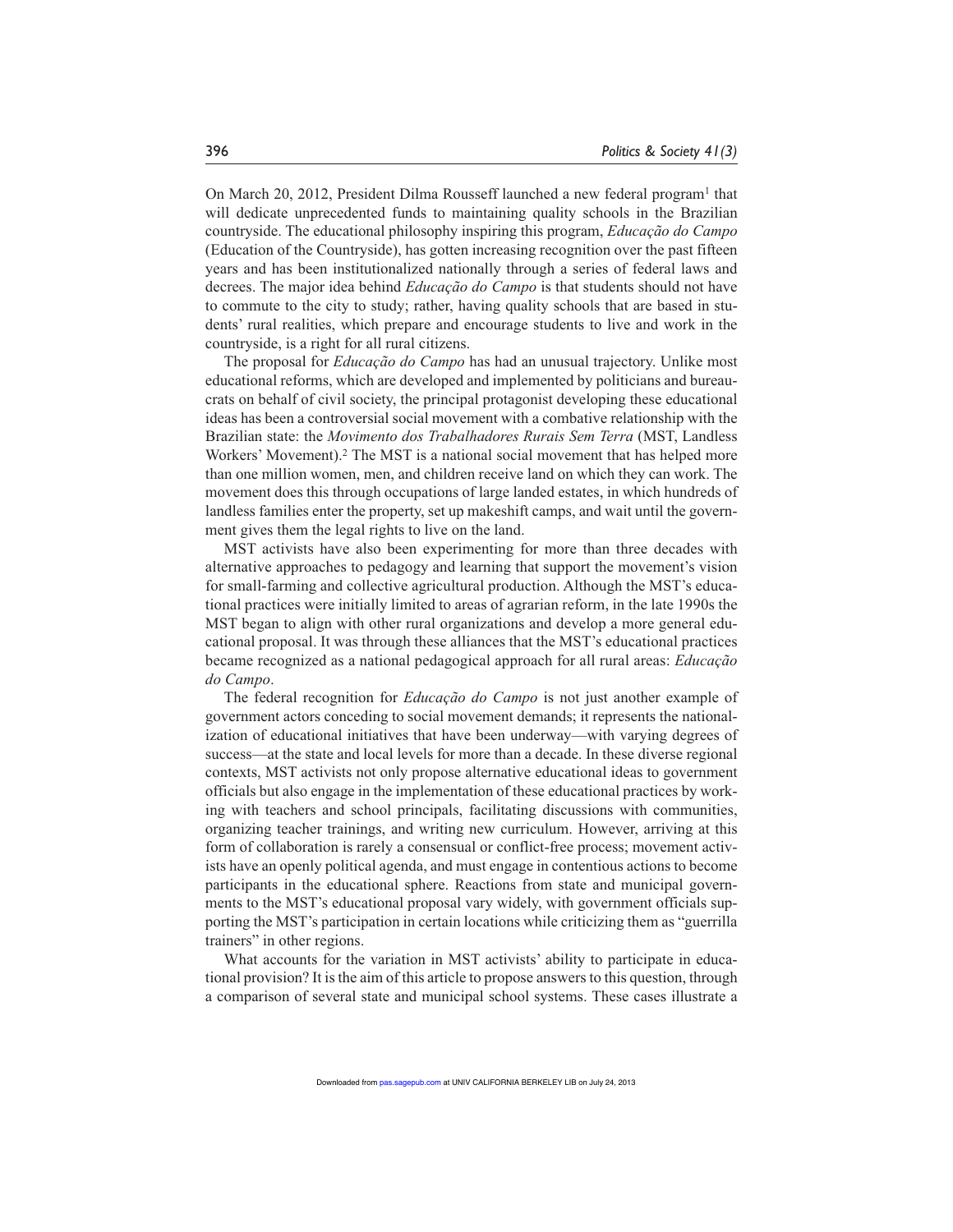On March 20, 2012, President Dilma Rousseff launched a new federal program<sup>1</sup> that will dedicate unprecedented funds to maintaining quality schools in the Brazilian countryside. The educational philosophy inspiring this program, *Educação do Campo* (Education of the Countryside), has gotten increasing recognition over the past fifteen years and has been institutionalized nationally through a series of federal laws and decrees. The major idea behind *Educação do Campo* is that students should not have to commute to the city to study; rather, having quality schools that are based in students' rural realities, which prepare and encourage students to live and work in the countryside, is a right for all rural citizens.

The proposal for *Educação do Campo* has had an unusual trajectory. Unlike most educational reforms, which are developed and implemented by politicians and bureaucrats on behalf of civil society, the principal protagonist developing these educational ideas has been a controversial social movement with a combative relationship with the Brazilian state: the *Movimento dos Trabalhadores Rurais Sem Terra* (MST, Landless Workers' Movement).2 The MST is a national social movement that has helped more than one million women, men, and children receive land on which they can work. The movement does this through occupations of large landed estates, in which hundreds of landless families enter the property, set up makeshift camps, and wait until the government gives them the legal rights to live on the land.

MST activists have also been experimenting for more than three decades with alternative approaches to pedagogy and learning that support the movement's vision for small-farming and collective agricultural production. Although the MST's educational practices were initially limited to areas of agrarian reform, in the late 1990s the MST began to align with other rural organizations and develop a more general educational proposal. It was through these alliances that the MST's educational practices became recognized as a national pedagogical approach for all rural areas: *Educação do Campo*.

The federal recognition for *Educação do Campo* is not just another example of government actors conceding to social movement demands; it represents the nationalization of educational initiatives that have been underway—with varying degrees of success—at the state and local levels for more than a decade. In these diverse regional contexts, MST activists not only propose alternative educational ideas to government officials but also engage in the implementation of these educational practices by working with teachers and school principals, facilitating discussions with communities, organizing teacher trainings, and writing new curriculum. However, arriving at this form of collaboration is rarely a consensual or conflict-free process; movement activists have an openly political agenda, and must engage in contentious actions to become participants in the educational sphere. Reactions from state and municipal governments to the MST's educational proposal vary widely, with government officials supporting the MST's participation in certain locations while criticizing them as "guerrilla trainers" in other regions.

What accounts for the variation in MST activists' ability to participate in educational provision? It is the aim of this article to propose answers to this question, through a comparison of several state and municipal school systems. These cases illustrate a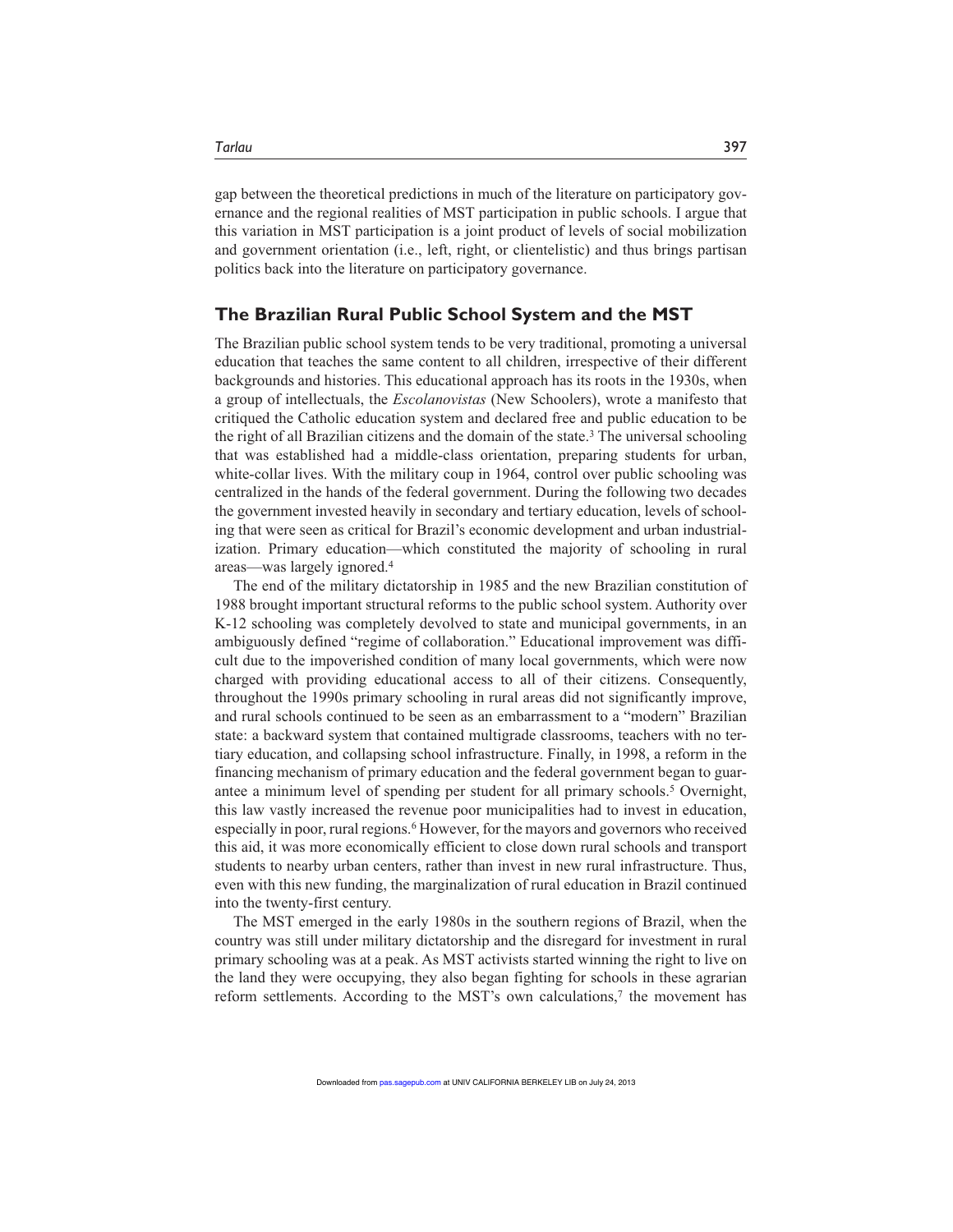gap between the theoretical predictions in much of the literature on participatory governance and the regional realities of MST participation in public schools. I argue that this variation in MST participation is a joint product of levels of social mobilization and government orientation (i.e., left, right, or clientelistic) and thus brings partisan politics back into the literature on participatory governance.

## **The Brazilian Rural Public School System and the MST**

The Brazilian public school system tends to be very traditional, promoting a universal education that teaches the same content to all children, irrespective of their different backgrounds and histories. This educational approach has its roots in the 1930s, when a group of intellectuals, the *Escolanovistas* (New Schoolers), wrote a manifesto that critiqued the Catholic education system and declared free and public education to be the right of all Brazilian citizens and the domain of the state.3 The universal schooling that was established had a middle-class orientation, preparing students for urban, white-collar lives. With the military coup in 1964, control over public schooling was centralized in the hands of the federal government. During the following two decades the government invested heavily in secondary and tertiary education, levels of schooling that were seen as critical for Brazil's economic development and urban industrialization. Primary education—which constituted the majority of schooling in rural areas—was largely ignored.4

The end of the military dictatorship in 1985 and the new Brazilian constitution of 1988 brought important structural reforms to the public school system. Authority over K-12 schooling was completely devolved to state and municipal governments, in an ambiguously defined "regime of collaboration." Educational improvement was difficult due to the impoverished condition of many local governments, which were now charged with providing educational access to all of their citizens. Consequently, throughout the 1990s primary schooling in rural areas did not significantly improve, and rural schools continued to be seen as an embarrassment to a "modern" Brazilian state: a backward system that contained multigrade classrooms, teachers with no tertiary education, and collapsing school infrastructure. Finally, in 1998, a reform in the financing mechanism of primary education and the federal government began to guarantee a minimum level of spending per student for all primary schools.5 Overnight, this law vastly increased the revenue poor municipalities had to invest in education, especially in poor, rural regions.<sup>6</sup> However, for the mayors and governors who received this aid, it was more economically efficient to close down rural schools and transport students to nearby urban centers, rather than invest in new rural infrastructure. Thus, even with this new funding, the marginalization of rural education in Brazil continued into the twenty-first century.

The MST emerged in the early 1980s in the southern regions of Brazil, when the country was still under military dictatorship and the disregard for investment in rural primary schooling was at a peak. As MST activists started winning the right to live on the land they were occupying, they also began fighting for schools in these agrarian reform settlements. According to the MST's own calculations,7 the movement has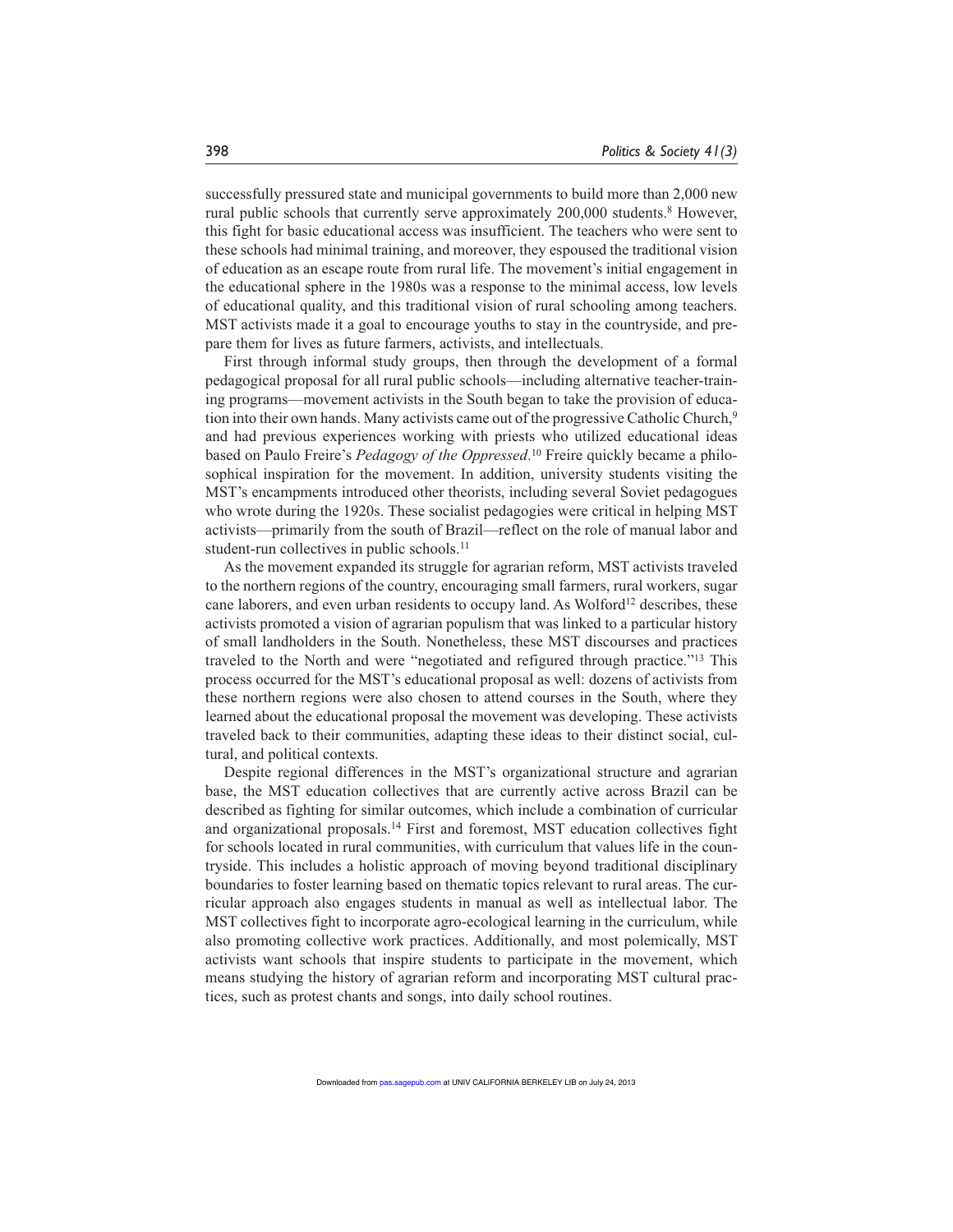successfully pressured state and municipal governments to build more than 2,000 new rural public schools that currently serve approximately 200,000 students.<sup>8</sup> However, this fight for basic educational access was insufficient. The teachers who were sent to these schools had minimal training, and moreover, they espoused the traditional vision of education as an escape route from rural life. The movement's initial engagement in the educational sphere in the 1980s was a response to the minimal access, low levels of educational quality, and this traditional vision of rural schooling among teachers. MST activists made it a goal to encourage youths to stay in the countryside, and prepare them for lives as future farmers, activists, and intellectuals.

First through informal study groups, then through the development of a formal pedagogical proposal for all rural public schools—including alternative teacher-training programs—movement activists in the South began to take the provision of education into their own hands. Many activists came out of the progressive Catholic Church,<sup>9</sup> and had previous experiences working with priests who utilized educational ideas based on Paulo Freire's *Pedagogy of the Oppressed*. 10 Freire quickly became a philosophical inspiration for the movement. In addition, university students visiting the MST's encampments introduced other theorists, including several Soviet pedagogues who wrote during the 1920s. These socialist pedagogies were critical in helping MST activists—primarily from the south of Brazil—reflect on the role of manual labor and student-run collectives in public schools.<sup>11</sup>

As the movement expanded its struggle for agrarian reform, MST activists traveled to the northern regions of the country, encouraging small farmers, rural workers, sugar cane laborers, and even urban residents to occupy land. As Wolford<sup>12</sup> describes, these activists promoted a vision of agrarian populism that was linked to a particular history of small landholders in the South. Nonetheless, these MST discourses and practices traveled to the North and were "negotiated and refigured through practice."13 This process occurred for the MST's educational proposal as well: dozens of activists from these northern regions were also chosen to attend courses in the South, where they learned about the educational proposal the movement was developing. These activists traveled back to their communities, adapting these ideas to their distinct social, cultural, and political contexts.

Despite regional differences in the MST's organizational structure and agrarian base, the MST education collectives that are currently active across Brazil can be described as fighting for similar outcomes, which include a combination of curricular and organizational proposals.14 First and foremost, MST education collectives fight for schools located in rural communities, with curriculum that values life in the countryside. This includes a holistic approach of moving beyond traditional disciplinary boundaries to foster learning based on thematic topics relevant to rural areas. The curricular approach also engages students in manual as well as intellectual labor. The MST collectives fight to incorporate agro-ecological learning in the curriculum, while also promoting collective work practices. Additionally, and most polemically, MST activists want schools that inspire students to participate in the movement, which means studying the history of agrarian reform and incorporating MST cultural practices, such as protest chants and songs, into daily school routines.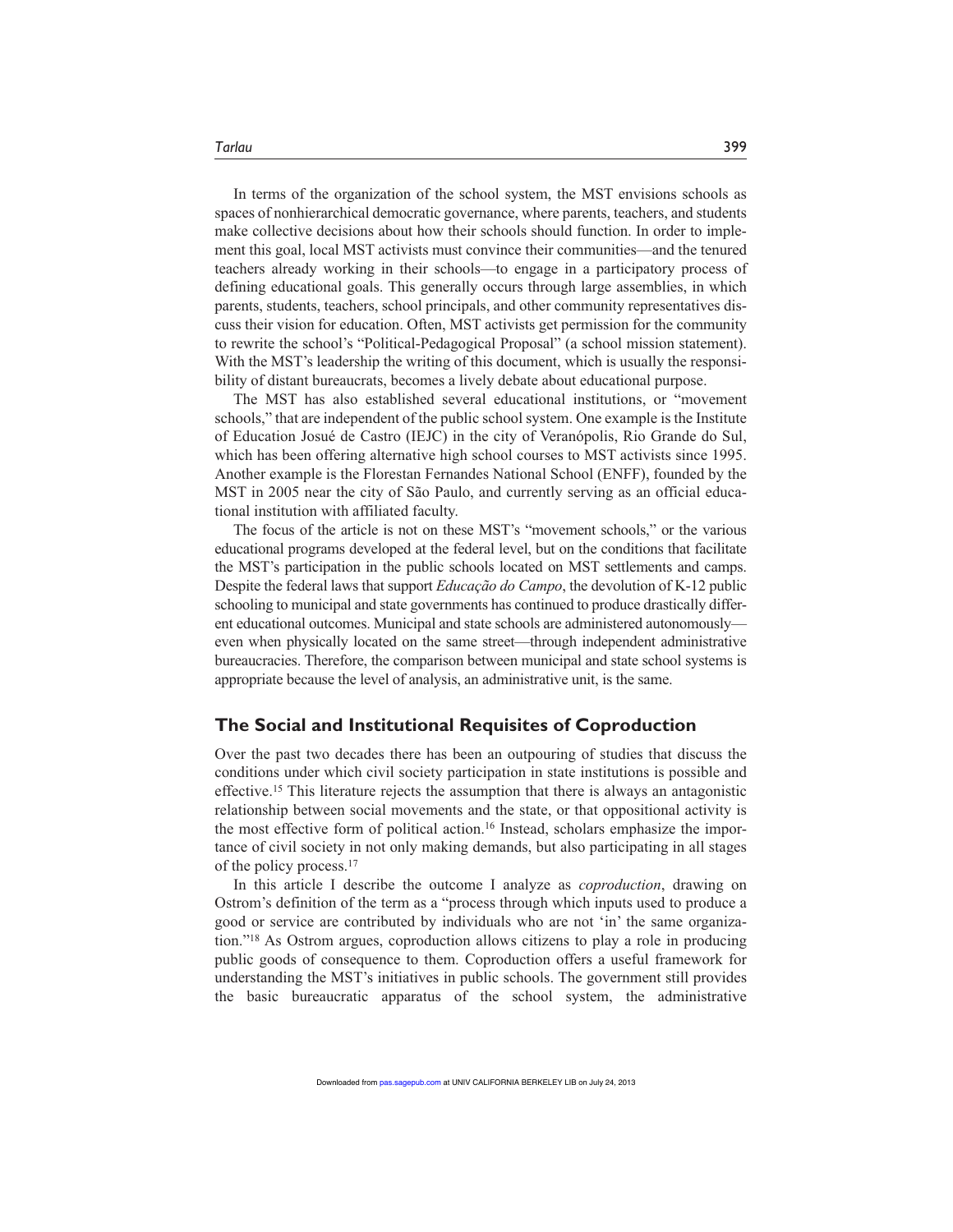In terms of the organization of the school system, the MST envisions schools as spaces of nonhierarchical democratic governance, where parents, teachers, and students make collective decisions about how their schools should function. In order to implement this goal, local MST activists must convince their communities—and the tenured teachers already working in their schools—to engage in a participatory process of defining educational goals. This generally occurs through large assemblies, in which parents, students, teachers, school principals, and other community representatives discuss their vision for education. Often, MST activists get permission for the community to rewrite the school's "Political-Pedagogical Proposal" (a school mission statement). With the MST's leadership the writing of this document, which is usually the responsibility of distant bureaucrats, becomes a lively debate about educational purpose.

The MST has also established several educational institutions, or "movement schools," that are independent of the public school system. One example is the Institute of Education Josué de Castro (IEJC) in the city of Veranópolis, Rio Grande do Sul, which has been offering alternative high school courses to MST activists since 1995. Another example is the Florestan Fernandes National School (ENFF), founded by the MST in 2005 near the city of São Paulo, and currently serving as an official educational institution with affiliated faculty.

The focus of the article is not on these MST's "movement schools," or the various educational programs developed at the federal level, but on the conditions that facilitate the MST's participation in the public schools located on MST settlements and camps. Despite the federal laws that support *Educação do Campo*, the devolution of K-12 public schooling to municipal and state governments has continued to produce drastically different educational outcomes. Municipal and state schools are administered autonomously even when physically located on the same street—through independent administrative bureaucracies. Therefore, the comparison between municipal and state school systems is appropriate because the level of analysis, an administrative unit, is the same.

## **The Social and Institutional Requisites of Coproduction**

Over the past two decades there has been an outpouring of studies that discuss the conditions under which civil society participation in state institutions is possible and effective.15 This literature rejects the assumption that there is always an antagonistic relationship between social movements and the state, or that oppositional activity is the most effective form of political action.16 Instead, scholars emphasize the importance of civil society in not only making demands, but also participating in all stages of the policy process.17

In this article I describe the outcome I analyze as *coproduction*, drawing on Ostrom's definition of the term as a "process through which inputs used to produce a good or service are contributed by individuals who are not 'in' the same organization."18 As Ostrom argues, coproduction allows citizens to play a role in producing public goods of consequence to them. Coproduction offers a useful framework for understanding the MST's initiatives in public schools. The government still provides the basic bureaucratic apparatus of the school system, the administrative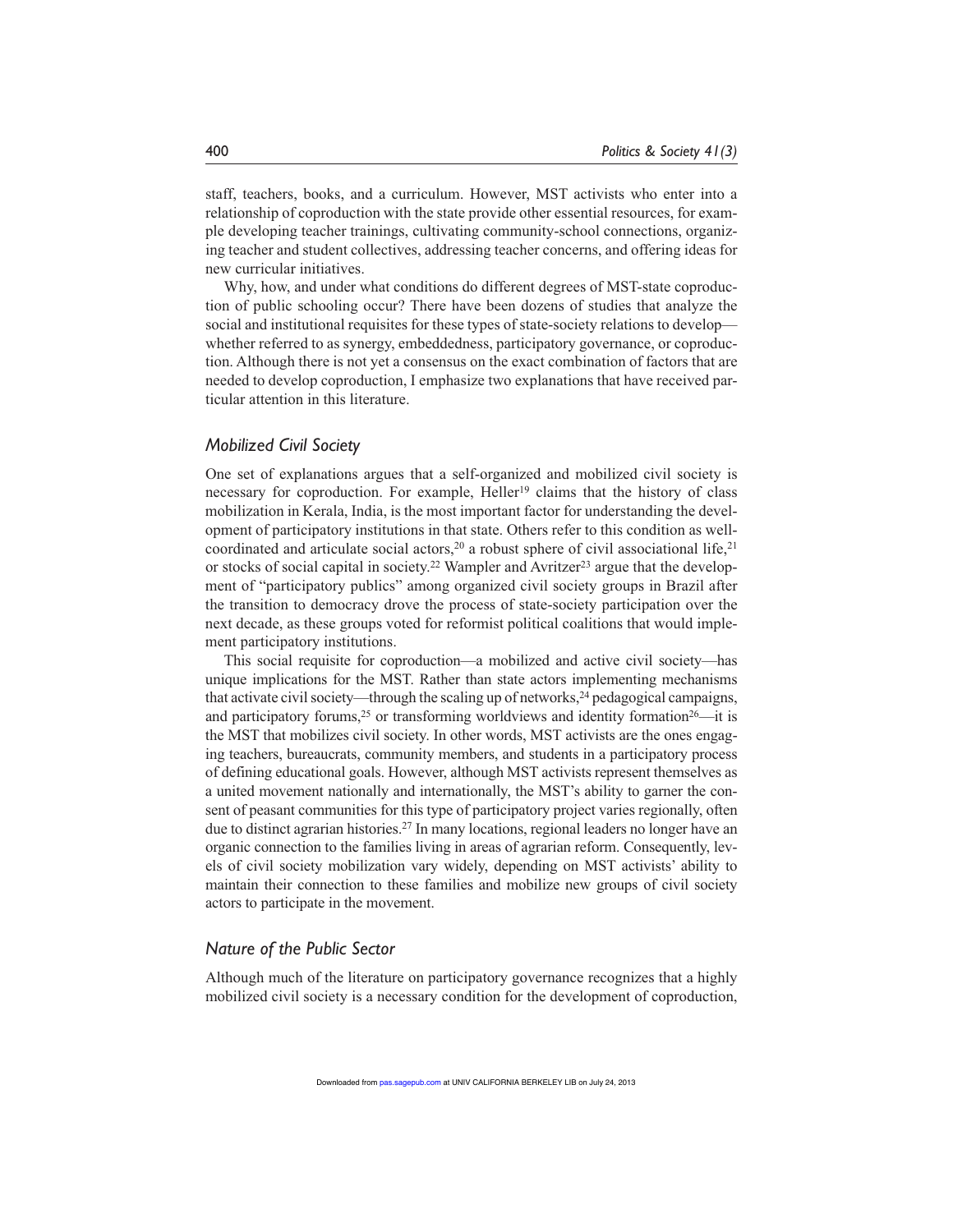staff, teachers, books, and a curriculum. However, MST activists who enter into a relationship of coproduction with the state provide other essential resources, for example developing teacher trainings, cultivating community-school connections, organizing teacher and student collectives, addressing teacher concerns, and offering ideas for new curricular initiatives.

Why, how, and under what conditions do different degrees of MST-state coproduction of public schooling occur? There have been dozens of studies that analyze the social and institutional requisites for these types of state-society relations to develop whether referred to as synergy, embeddedness, participatory governance, or coproduction. Although there is not yet a consensus on the exact combination of factors that are needed to develop coproduction, I emphasize two explanations that have received particular attention in this literature.

## *Mobilized Civil Society*

One set of explanations argues that a self-organized and mobilized civil society is necessary for coproduction. For example, Heller<sup>19</sup> claims that the history of class mobilization in Kerala, India, is the most important factor for understanding the development of participatory institutions in that state. Others refer to this condition as wellcoordinated and articulate social actors,<sup>20</sup> a robust sphere of civil associational life,<sup>21</sup> or stocks of social capital in society.<sup>22</sup> Wampler and Avritzer<sup>23</sup> argue that the development of "participatory publics" among organized civil society groups in Brazil after the transition to democracy drove the process of state-society participation over the next decade, as these groups voted for reformist political coalitions that would implement participatory institutions.

This social requisite for coproduction—a mobilized and active civil society—has unique implications for the MST. Rather than state actors implementing mechanisms that activate civil society—through the scaling up of networks,<sup>24</sup> pedagogical campaigns, and participatory forums,<sup>25</sup> or transforming worldviews and identity formation<sup>26</sup>—it is the MST that mobilizes civil society. In other words, MST activists are the ones engaging teachers, bureaucrats, community members, and students in a participatory process of defining educational goals. However, although MST activists represent themselves as a united movement nationally and internationally, the MST's ability to garner the consent of peasant communities for this type of participatory project varies regionally, often due to distinct agrarian histories.<sup>27</sup> In many locations, regional leaders no longer have an organic connection to the families living in areas of agrarian reform. Consequently, levels of civil society mobilization vary widely, depending on MST activists' ability to maintain their connection to these families and mobilize new groups of civil society actors to participate in the movement.

## *Nature of the Public Sector*

Although much of the literature on participatory governance recognizes that a highly mobilized civil society is a necessary condition for the development of coproduction,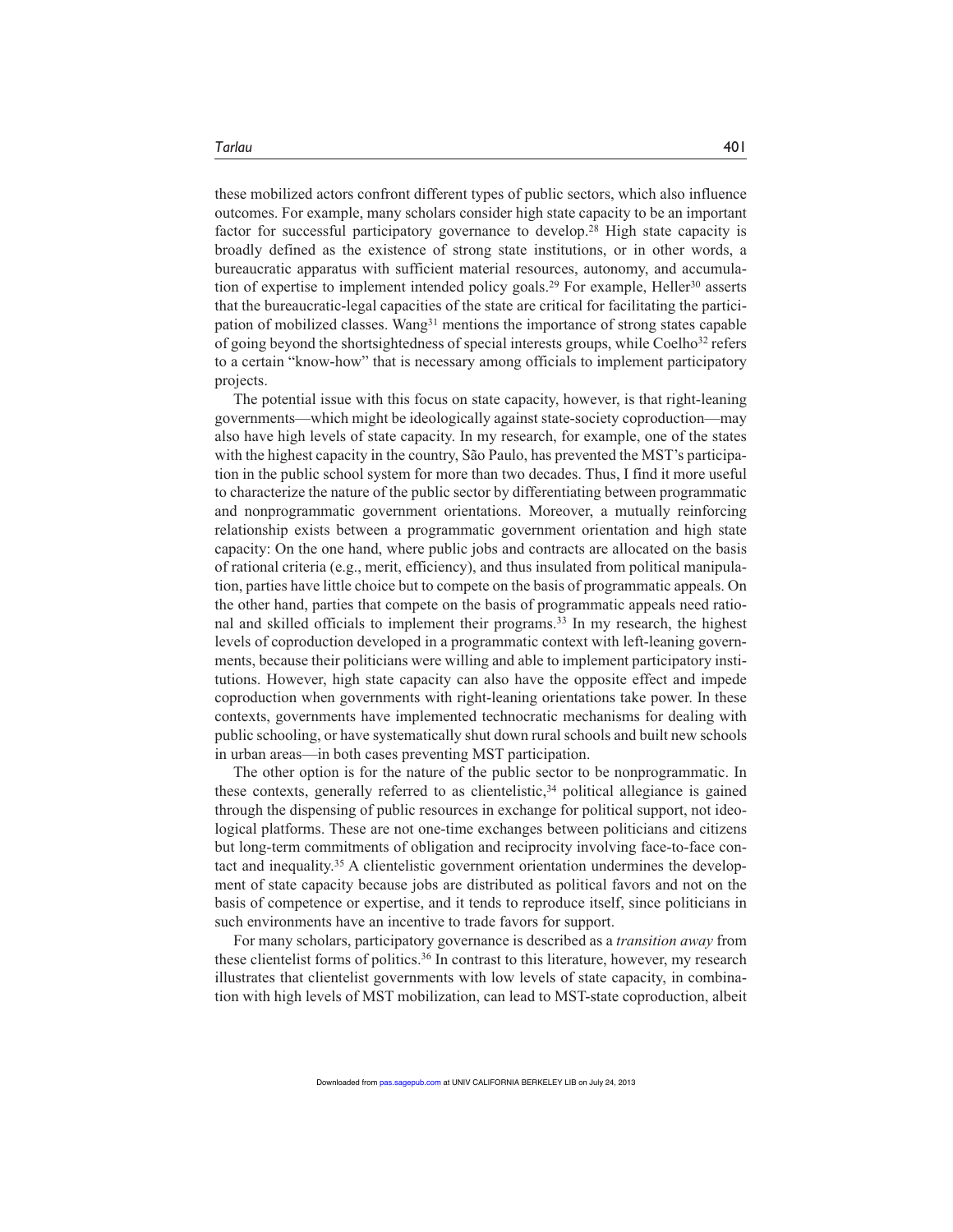these mobilized actors confront different types of public sectors, which also influence outcomes. For example, many scholars consider high state capacity to be an important factor for successful participatory governance to develop.28 High state capacity is broadly defined as the existence of strong state institutions, or in other words, a bureaucratic apparatus with sufficient material resources, autonomy, and accumulation of expertise to implement intended policy goals.<sup>29</sup> For example, Heller<sup>30</sup> asserts that the bureaucratic-legal capacities of the state are critical for facilitating the participation of mobilized classes. Wang31 mentions the importance of strong states capable of going beyond the shortsightedness of special interests groups, while Coelho<sup>32</sup> refers to a certain "know-how" that is necessary among officials to implement participatory projects.

The potential issue with this focus on state capacity, however, is that right-leaning governments—which might be ideologically against state-society coproduction—may also have high levels of state capacity. In my research, for example, one of the states with the highest capacity in the country, São Paulo, has prevented the MST's participation in the public school system for more than two decades. Thus, I find it more useful to characterize the nature of the public sector by differentiating between programmatic and nonprogrammatic government orientations. Moreover, a mutually reinforcing relationship exists between a programmatic government orientation and high state capacity: On the one hand, where public jobs and contracts are allocated on the basis of rational criteria (e.g., merit, efficiency), and thus insulated from political manipulation, parties have little choice but to compete on the basis of programmatic appeals. On the other hand, parties that compete on the basis of programmatic appeals need rational and skilled officials to implement their programs.33 In my research, the highest levels of coproduction developed in a programmatic context with left-leaning governments, because their politicians were willing and able to implement participatory institutions. However, high state capacity can also have the opposite effect and impede coproduction when governments with right-leaning orientations take power. In these contexts, governments have implemented technocratic mechanisms for dealing with public schooling, or have systematically shut down rural schools and built new schools in urban areas—in both cases preventing MST participation.

The other option is for the nature of the public sector to be nonprogrammatic. In these contexts, generally referred to as clientelistic, $34$  political allegiance is gained through the dispensing of public resources in exchange for political support, not ideological platforms. These are not one-time exchanges between politicians and citizens but long-term commitments of obligation and reciprocity involving face-to-face contact and inequality.35 A clientelistic government orientation undermines the development of state capacity because jobs are distributed as political favors and not on the basis of competence or expertise, and it tends to reproduce itself, since politicians in such environments have an incentive to trade favors for support.

For many scholars, participatory governance is described as a *transition away* from these clientelist forms of politics.<sup>36</sup> In contrast to this literature, however, my research illustrates that clientelist governments with low levels of state capacity, in combination with high levels of MST mobilization, can lead to MST-state coproduction, albeit

vnloaded fro<mark>m pas.sagepub.com at UNIV CALIFORNIA BERKELEY LIB</mark> on July 24, 2013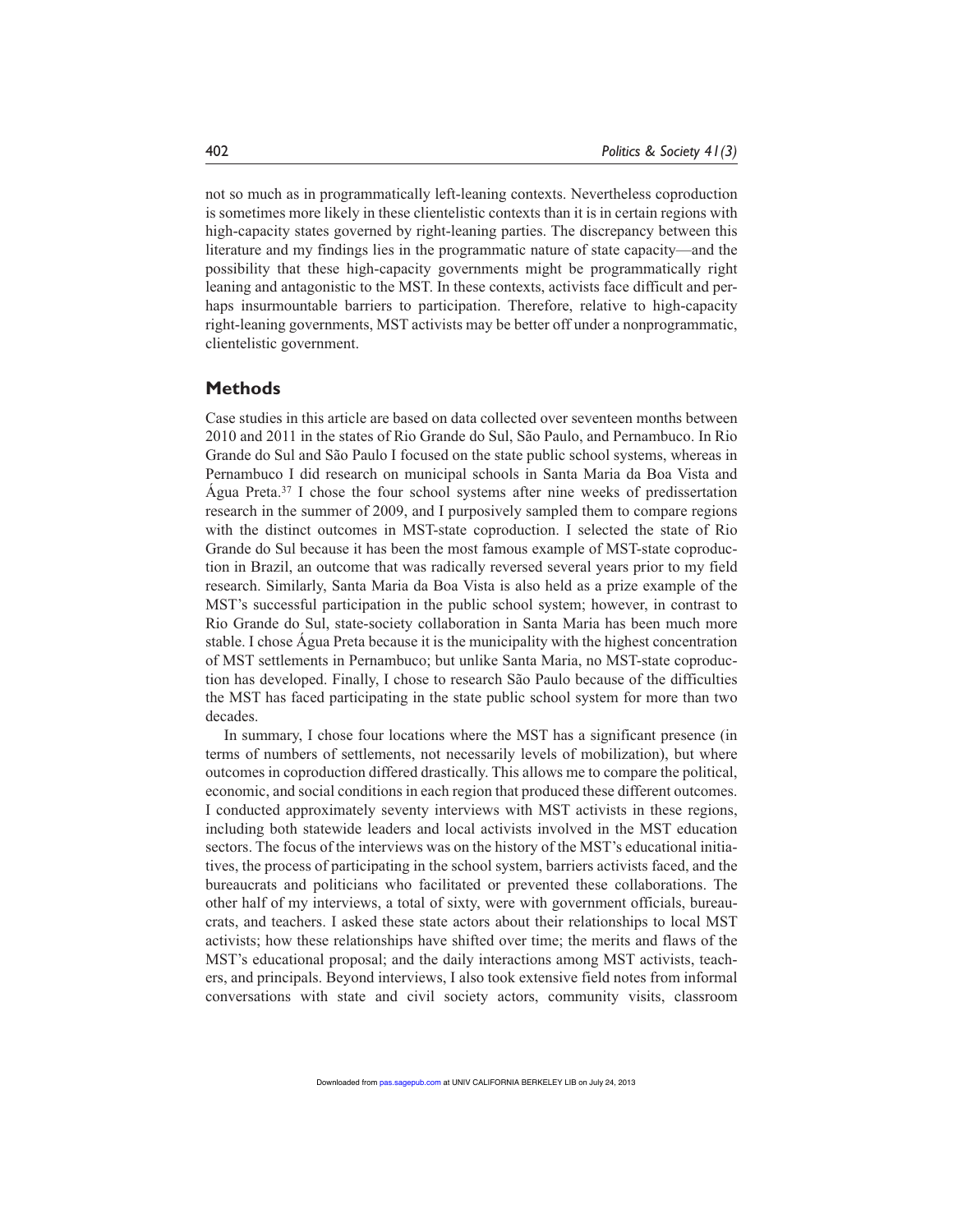not so much as in programmatically left-leaning contexts. Nevertheless coproduction is sometimes more likely in these clientelistic contexts than it is in certain regions with high-capacity states governed by right-leaning parties. The discrepancy between this literature and my findings lies in the programmatic nature of state capacity—and the possibility that these high-capacity governments might be programmatically right leaning and antagonistic to the MST. In these contexts, activists face difficult and perhaps insurmountable barriers to participation. Therefore, relative to high-capacity right-leaning governments, MST activists may be better off under a nonprogrammatic, clientelistic government.

## **Methods**

Case studies in this article are based on data collected over seventeen months between 2010 and 2011 in the states of Rio Grande do Sul, São Paulo, and Pernambuco. In Rio Grande do Sul and São Paulo I focused on the state public school systems, whereas in Pernambuco I did research on municipal schools in Santa Maria da Boa Vista and Água Preta. $37$  I chose the four school systems after nine weeks of predissertation research in the summer of 2009, and I purposively sampled them to compare regions with the distinct outcomes in MST-state coproduction. I selected the state of Rio Grande do Sul because it has been the most famous example of MST-state coproduction in Brazil, an outcome that was radically reversed several years prior to my field research. Similarly, Santa Maria da Boa Vista is also held as a prize example of the MST's successful participation in the public school system; however, in contrast to Rio Grande do Sul, state-society collaboration in Santa Maria has been much more stable. I chose Água Preta because it is the municipality with the highest concentration of MST settlements in Pernambuco; but unlike Santa Maria, no MST-state coproduction has developed. Finally, I chose to research São Paulo because of the difficulties the MST has faced participating in the state public school system for more than two decades.

In summary, I chose four locations where the MST has a significant presence (in terms of numbers of settlements, not necessarily levels of mobilization), but where outcomes in coproduction differed drastically. This allows me to compare the political, economic, and social conditions in each region that produced these different outcomes. I conducted approximately seventy interviews with MST activists in these regions, including both statewide leaders and local activists involved in the MST education sectors. The focus of the interviews was on the history of the MST's educational initiatives, the process of participating in the school system, barriers activists faced, and the bureaucrats and politicians who facilitated or prevented these collaborations. The other half of my interviews, a total of sixty, were with government officials, bureaucrats, and teachers. I asked these state actors about their relationships to local MST activists; how these relationships have shifted over time; the merits and flaws of the MST's educational proposal; and the daily interactions among MST activists, teachers, and principals. Beyond interviews, I also took extensive field notes from informal conversations with state and civil society actors, community visits, classroom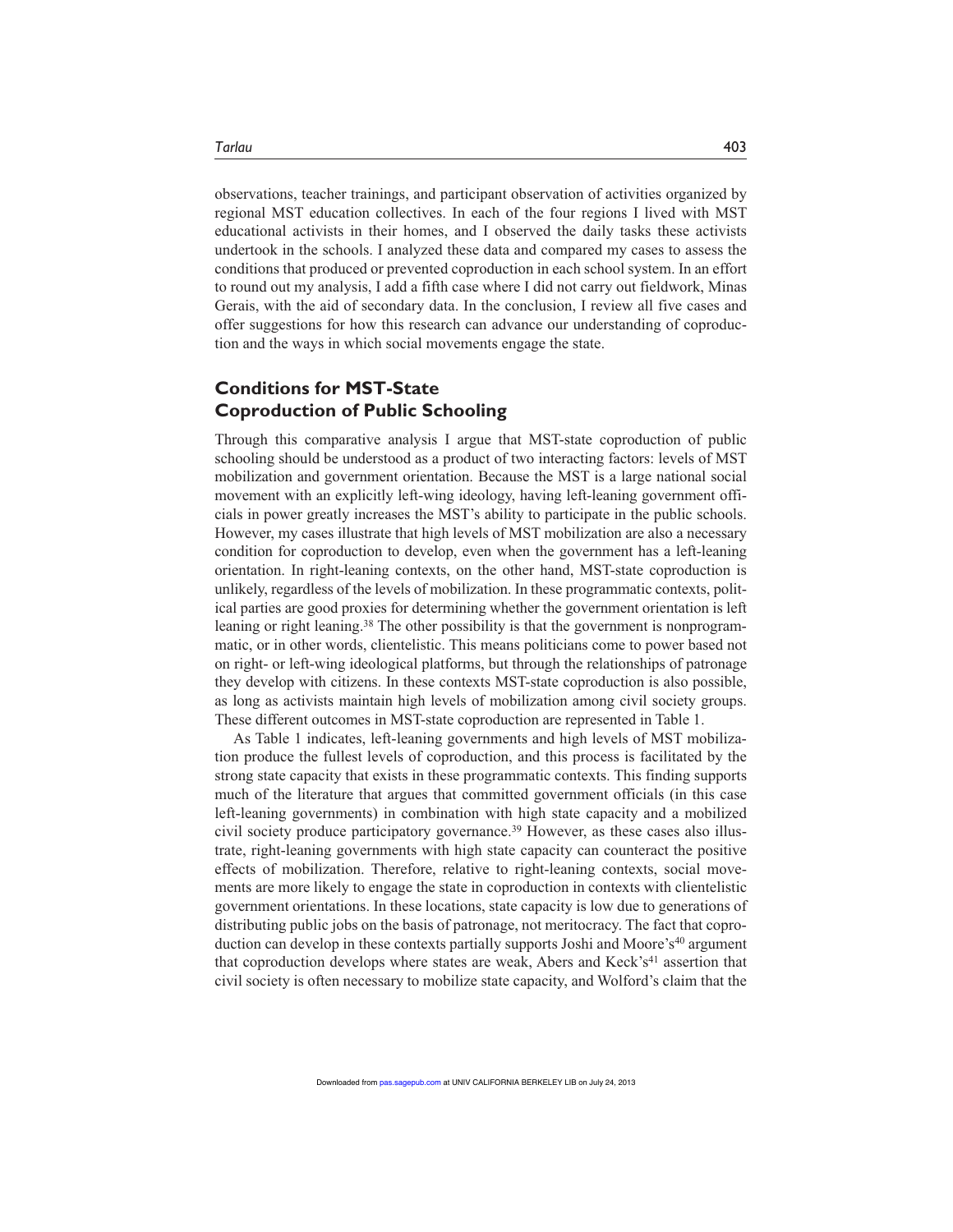observations, teacher trainings, and participant observation of activities organized by regional MST education collectives. In each of the four regions I lived with MST educational activists in their homes, and I observed the daily tasks these activists undertook in the schools. I analyzed these data and compared my cases to assess the conditions that produced or prevented coproduction in each school system. In an effort to round out my analysis, I add a fifth case where I did not carry out fieldwork, Minas Gerais, with the aid of secondary data. In the conclusion, I review all five cases and offer suggestions for how this research can advance our understanding of coproduction and the ways in which social movements engage the state.

# **Conditions for MST-State Coproduction of Public Schooling**

Through this comparative analysis I argue that MST-state coproduction of public schooling should be understood as a product of two interacting factors: levels of MST mobilization and government orientation. Because the MST is a large national social movement with an explicitly left-wing ideology, having left-leaning government officials in power greatly increases the MST's ability to participate in the public schools. However, my cases illustrate that high levels of MST mobilization are also a necessary condition for coproduction to develop, even when the government has a left-leaning orientation. In right-leaning contexts, on the other hand, MST-state coproduction is unlikely, regardless of the levels of mobilization. In these programmatic contexts, political parties are good proxies for determining whether the government orientation is left leaning or right leaning.38 The other possibility is that the government is nonprogrammatic, or in other words, clientelistic. This means politicians come to power based not on right- or left-wing ideological platforms, but through the relationships of patronage they develop with citizens. In these contexts MST-state coproduction is also possible, as long as activists maintain high levels of mobilization among civil society groups. These different outcomes in MST-state coproduction are represented in Table 1.

As Table 1 indicates, left-leaning governments and high levels of MST mobilization produce the fullest levels of coproduction, and this process is facilitated by the strong state capacity that exists in these programmatic contexts. This finding supports much of the literature that argues that committed government officials (in this case left-leaning governments) in combination with high state capacity and a mobilized civil society produce participatory governance.39 However, as these cases also illustrate, right-leaning governments with high state capacity can counteract the positive effects of mobilization. Therefore, relative to right-leaning contexts, social movements are more likely to engage the state in coproduction in contexts with clientelistic government orientations. In these locations, state capacity is low due to generations of distributing public jobs on the basis of patronage, not meritocracy. The fact that coproduction can develop in these contexts partially supports Joshi and Moore's<sup>40</sup> argument that coproduction develops where states are weak, Abers and Keck's<sup>41</sup> assertion that civil society is often necessary to mobilize state capacity, and Wolford's claim that the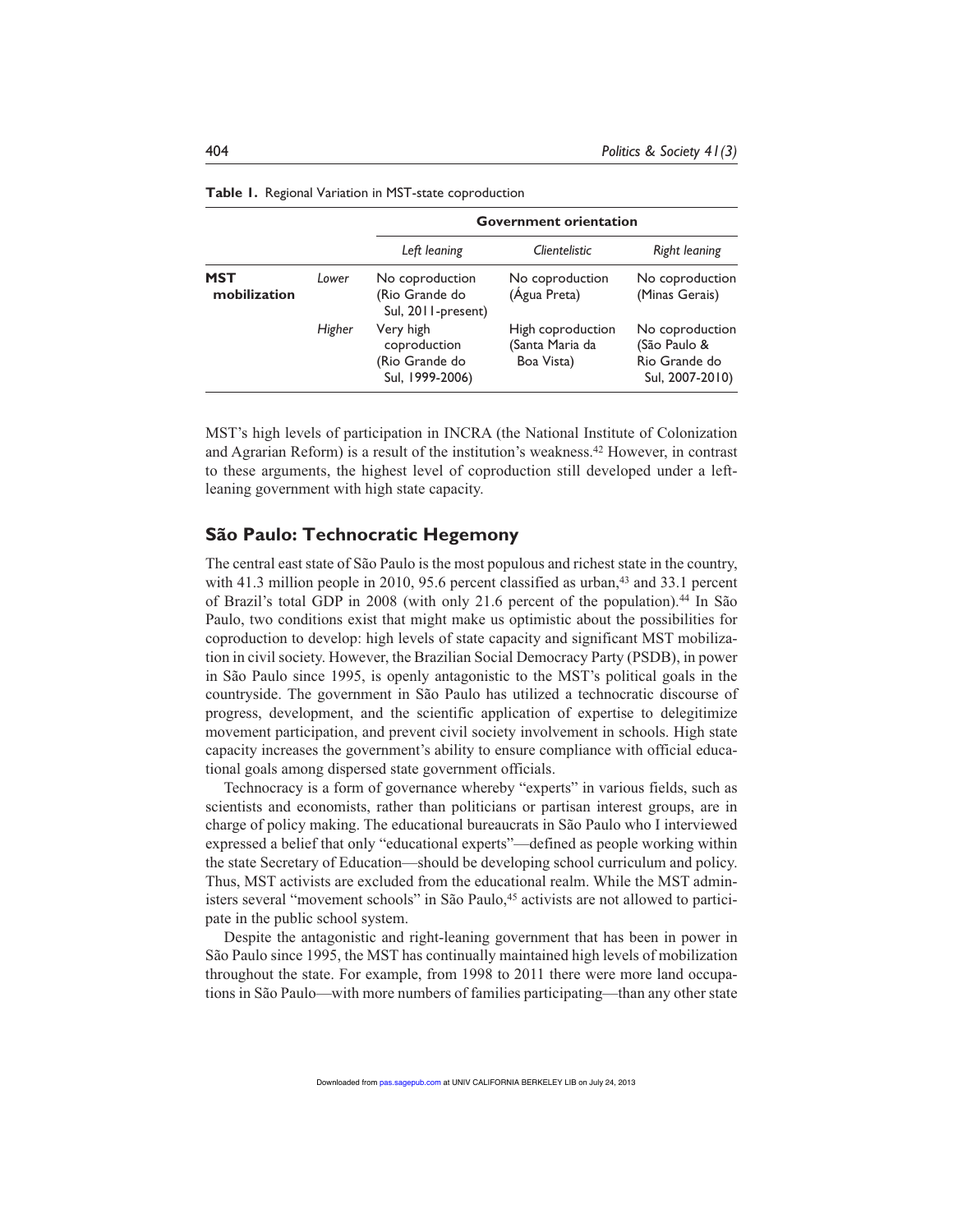|                            |        | <b>Government orientation</b>                                  |                                                    |                                                                     |  |  |
|----------------------------|--------|----------------------------------------------------------------|----------------------------------------------------|---------------------------------------------------------------------|--|--|
|                            |        | Left leaning                                                   | Clientelistic                                      | Right leaning                                                       |  |  |
| <b>MST</b><br>mobilization | Lower  | No coproduction<br>(Rio Grande do<br>Sul, 2011-present)        | No coproduction<br>(Água Preta)                    | No coproduction<br>(Minas Gerais)                                   |  |  |
|                            | Higher | Very high<br>coproduction<br>(Rio Grande do<br>Sul, 1999-2006) | High coproduction<br>(Santa Maria da<br>Boa Vista) | No coproduction<br>(São Paulo &<br>Rio Grande do<br>Sul, 2007-2010) |  |  |

|  |  |  |  |  | Table 1. Regional Variation in MST-state coproduction |
|--|--|--|--|--|-------------------------------------------------------|
|--|--|--|--|--|-------------------------------------------------------|

MST's high levels of participation in INCRA (the National Institute of Colonization and Agrarian Reform) is a result of the institution's weakness.42 However, in contrast to these arguments, the highest level of coproduction still developed under a leftleaning government with high state capacity.

## **São Paulo: Technocratic Hegemony**

The central east state of São Paulo is the most populous and richest state in the country, with 41.3 million people in 2010, 95.6 percent classified as urban,<sup>43</sup> and 33.1 percent of Brazil's total GDP in 2008 (with only 21.6 percent of the population).<sup>44</sup> In São Paulo, two conditions exist that might make us optimistic about the possibilities for coproduction to develop: high levels of state capacity and significant MST mobilization in civil society. However, the Brazilian Social Democracy Party (PSDB), in power in São Paulo since 1995, is openly antagonistic to the MST's political goals in the countryside. The government in São Paulo has utilized a technocratic discourse of progress, development, and the scientific application of expertise to delegitimize movement participation, and prevent civil society involvement in schools. High state capacity increases the government's ability to ensure compliance with official educational goals among dispersed state government officials.

Technocracy is a form of governance whereby "experts" in various fields, such as scientists and economists, rather than politicians or partisan interest groups, are in charge of policy making. The educational bureaucrats in São Paulo who I interviewed expressed a belief that only "educational experts"—defined as people working within the state Secretary of Education—should be developing school curriculum and policy. Thus, MST activists are excluded from the educational realm. While the MST administers several "movement schools" in São Paulo,<sup>45</sup> activists are not allowed to participate in the public school system.

Despite the antagonistic and right-leaning government that has been in power in São Paulo since 1995, the MST has continually maintained high levels of mobilization throughout the state. For example, from 1998 to 2011 there were more land occupations in São Paulo—with more numbers of families participating—than any other state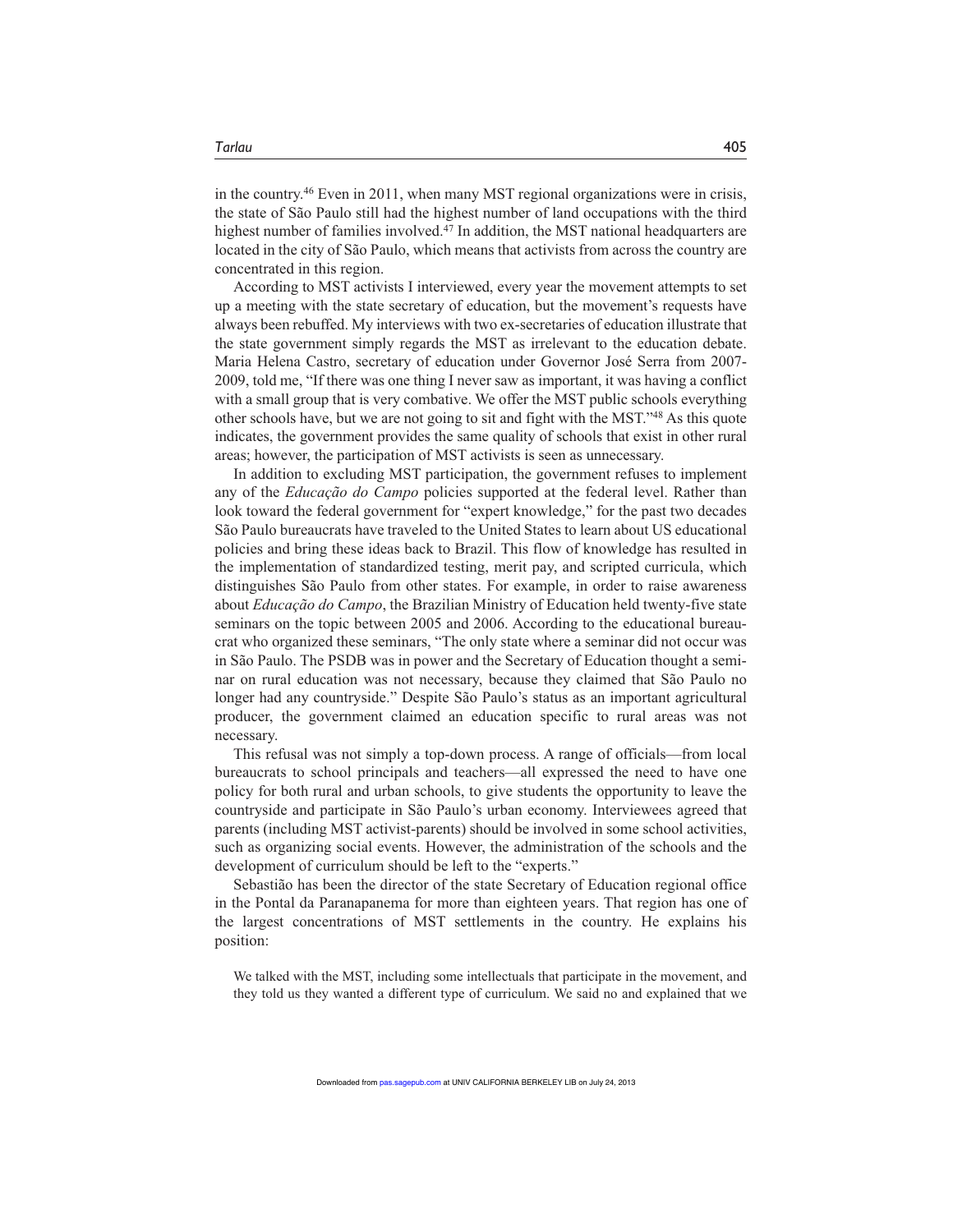in the country. 46 Even in 2011, when many MST regional organizations were in crisis, the state of São Paulo still had the highest number of land occupations with the third highest number of families involved.<sup>47</sup> In addition, the MST national headquarters are located in the city of São Paulo, which means that activists from across the country are concentrated in this region.

According to MST activists I interviewed, every year the movement attempts to set up a meeting with the state secretary of education, but the movement's requests have always been rebuffed. My interviews with two ex-secretaries of education illustrate that the state government simply regards the MST as irrelevant to the education debate. Maria Helena Castro, secretary of education under Governor José Serra from 2007- 2009, told me, "If there was one thing I never saw as important, it was having a conflict with a small group that is very combative. We offer the MST public schools everything other schools have, but we are not going to sit and fight with the MST."48 As this quote indicates, the government provides the same quality of schools that exist in other rural areas; however, the participation of MST activists is seen as unnecessary.

In addition to excluding MST participation, the government refuses to implement any of the *Educação do Campo* policies supported at the federal level. Rather than look toward the federal government for "expert knowledge," for the past two decades São Paulo bureaucrats have traveled to the United States to learn about US educational policies and bring these ideas back to Brazil. This flow of knowledge has resulted in the implementation of standardized testing, merit pay, and scripted curricula, which distinguishes São Paulo from other states. For example, in order to raise awareness about *Educação do Campo*, the Brazilian Ministry of Education held twenty-five state seminars on the topic between 2005 and 2006. According to the educational bureaucrat who organized these seminars, "The only state where a seminar did not occur was in São Paulo. The PSDB was in power and the Secretary of Education thought a seminar on rural education was not necessary, because they claimed that São Paulo no longer had any countryside." Despite São Paulo's status as an important agricultural producer, the government claimed an education specific to rural areas was not necessary.

This refusal was not simply a top-down process. A range of officials—from local bureaucrats to school principals and teachers—all expressed the need to have one policy for both rural and urban schools, to give students the opportunity to leave the countryside and participate in São Paulo's urban economy. Interviewees agreed that parents (including MST activist-parents) should be involved in some school activities, such as organizing social events. However, the administration of the schools and the development of curriculum should be left to the "experts."

Sebastião has been the director of the state Secretary of Education regional office in the Pontal da Paranapanema for more than eighteen years. That region has one of the largest concentrations of MST settlements in the country. He explains his position:

We talked with the MST, including some intellectuals that participate in the movement, and they told us they wanted a different type of curriculum. We said no and explained that we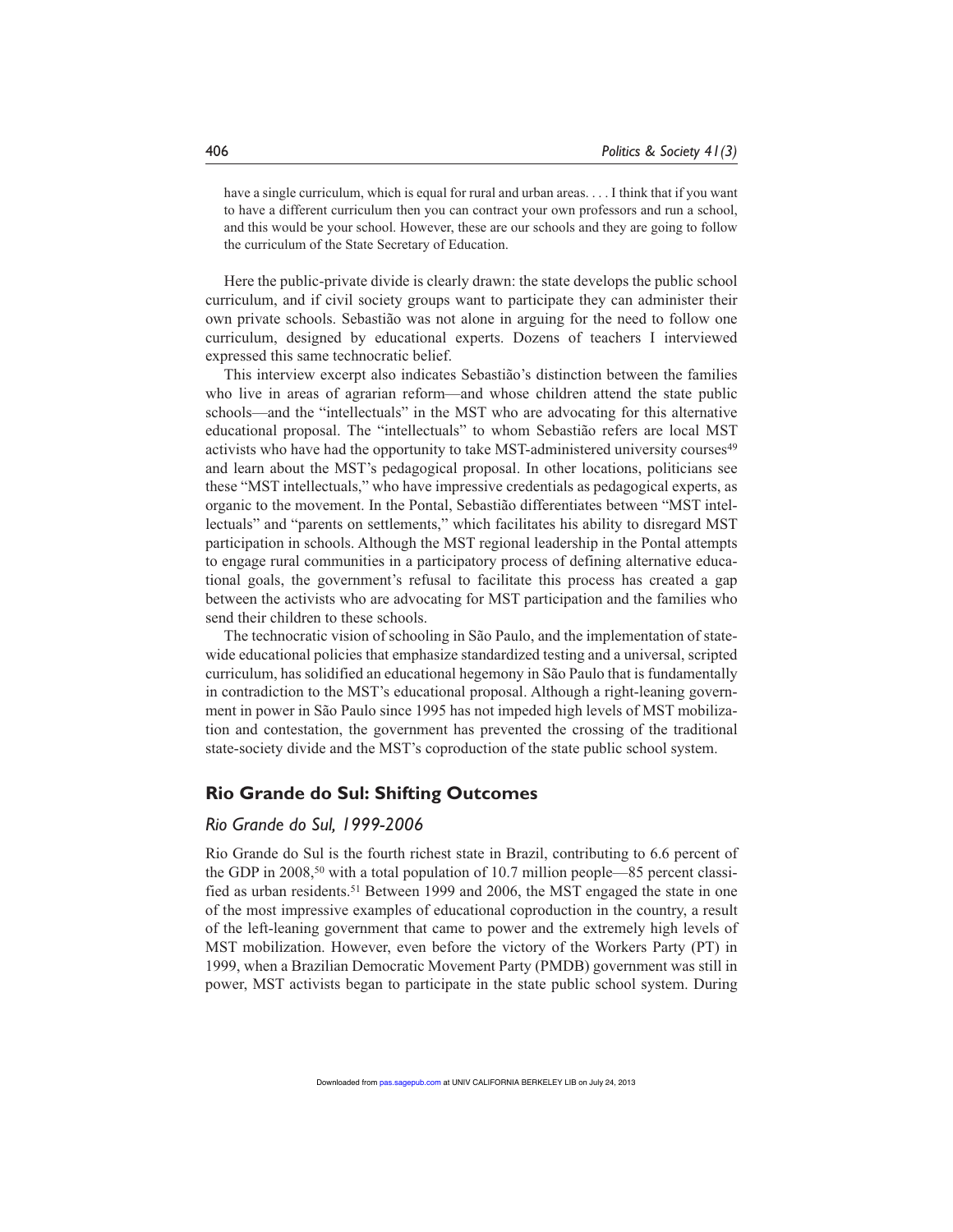have a single curriculum, which is equal for rural and urban areas. . . . I think that if you want to have a different curriculum then you can contract your own professors and run a school, and this would be your school. However, these are our schools and they are going to follow the curriculum of the State Secretary of Education.

Here the public-private divide is clearly drawn: the state develops the public school curriculum, and if civil society groups want to participate they can administer their own private schools. Sebastião was not alone in arguing for the need to follow one curriculum, designed by educational experts. Dozens of teachers I interviewed expressed this same technocratic belief.

This interview excerpt also indicates Sebastião's distinction between the families who live in areas of agrarian reform—and whose children attend the state public schools—and the "intellectuals" in the MST who are advocating for this alternative educational proposal. The "intellectuals" to whom Sebastião refers are local MST activists who have had the opportunity to take MST-administered university courses<sup>49</sup> and learn about the MST's pedagogical proposal. In other locations, politicians see these "MST intellectuals," who have impressive credentials as pedagogical experts, as organic to the movement. In the Pontal, Sebastião differentiates between "MST intellectuals" and "parents on settlements," which facilitates his ability to disregard MST participation in schools. Although the MST regional leadership in the Pontal attempts to engage rural communities in a participatory process of defining alternative educational goals, the government's refusal to facilitate this process has created a gap between the activists who are advocating for MST participation and the families who send their children to these schools.

The technocratic vision of schooling in São Paulo, and the implementation of statewide educational policies that emphasize standardized testing and a universal, scripted curriculum, has solidified an educational hegemony in São Paulo that is fundamentally in contradiction to the MST's educational proposal. Although a right-leaning government in power in São Paulo since 1995 has not impeded high levels of MST mobilization and contestation, the government has prevented the crossing of the traditional state-society divide and the MST's coproduction of the state public school system.

## **Rio Grande do Sul: Shifting Outcomes**

## *Rio Grande do Sul, 1999-2006*

Rio Grande do Sul is the fourth richest state in Brazil, contributing to 6.6 percent of the GDP in 2008,<sup>50</sup> with a total population of 10.7 million people—85 percent classified as urban residents.51 Between 1999 and 2006, the MST engaged the state in one of the most impressive examples of educational coproduction in the country, a result of the left-leaning government that came to power and the extremely high levels of MST mobilization. However, even before the victory of the Workers Party (PT) in 1999, when a Brazilian Democratic Movement Party (PMDB) government was still in power, MST activists began to participate in the state public school system. During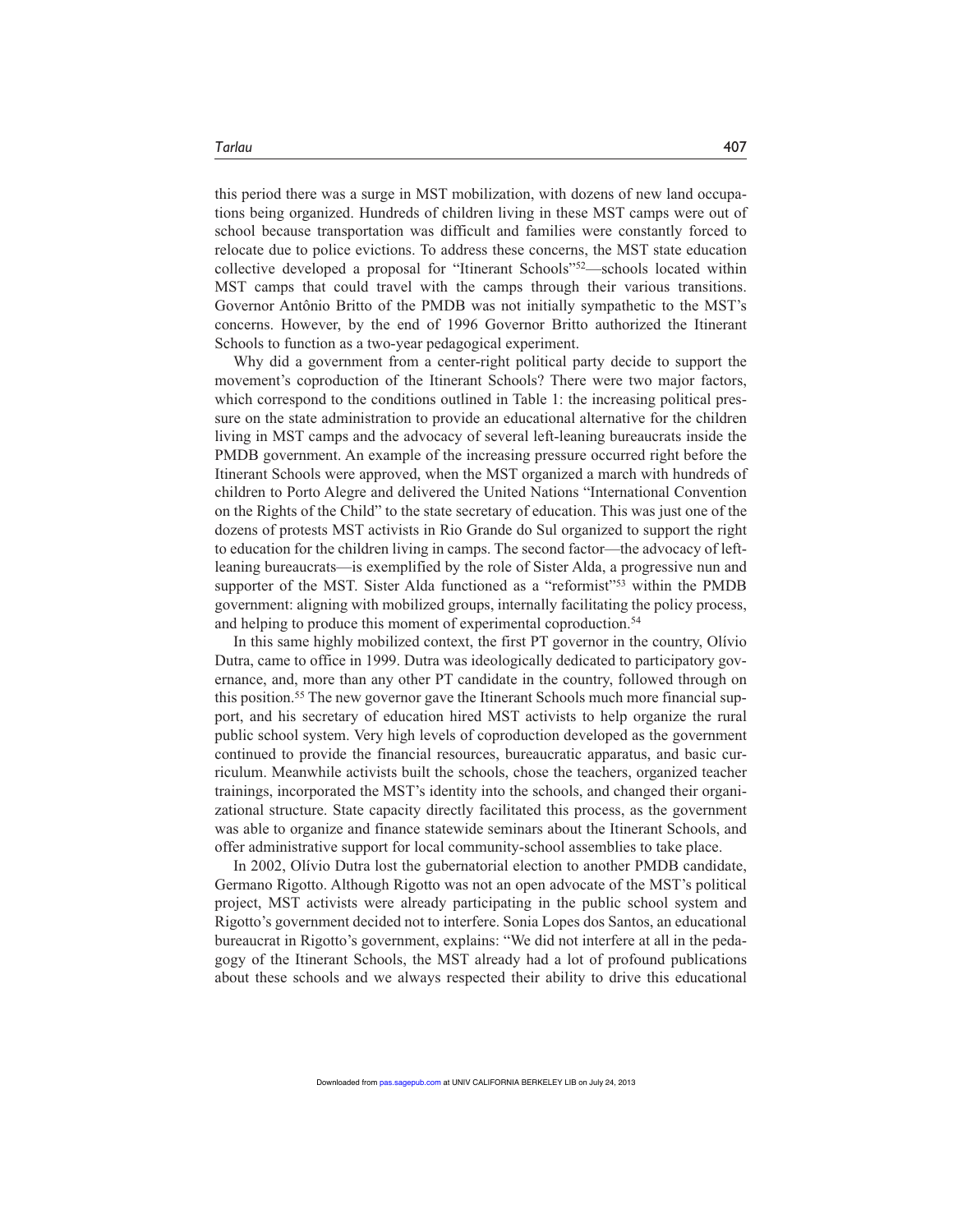#### *Tarlau* 407

this period there was a surge in MST mobilization, with dozens of new land occupations being organized. Hundreds of children living in these MST camps were out of school because transportation was difficult and families were constantly forced to relocate due to police evictions. To address these concerns, the MST state education collective developed a proposal for "Itinerant Schools"52—schools located within MST camps that could travel with the camps through their various transitions. Governor Antônio Britto of the PMDB was not initially sympathetic to the MST's concerns. However, by the end of 1996 Governor Britto authorized the Itinerant Schools to function as a two-year pedagogical experiment.

Why did a government from a center-right political party decide to support the movement's coproduction of the Itinerant Schools? There were two major factors, which correspond to the conditions outlined in Table 1: the increasing political pressure on the state administration to provide an educational alternative for the children living in MST camps and the advocacy of several left-leaning bureaucrats inside the PMDB government. An example of the increasing pressure occurred right before the Itinerant Schools were approved, when the MST organized a march with hundreds of children to Porto Alegre and delivered the United Nations "International Convention on the Rights of the Child" to the state secretary of education. This was just one of the dozens of protests MST activists in Rio Grande do Sul organized to support the right to education for the children living in camps. The second factor—the advocacy of leftleaning bureaucrats—is exemplified by the role of Sister Alda, a progressive nun and supporter of the MST. Sister Alda functioned as a "reformist"<sup>53</sup> within the PMDB government: aligning with mobilized groups, internally facilitating the policy process, and helping to produce this moment of experimental coproduction.<sup>54</sup>

In this same highly mobilized context, the first PT governor in the country, Olívio Dutra, came to office in 1999. Dutra was ideologically dedicated to participatory governance, and, more than any other PT candidate in the country, followed through on this position.55 The new governor gave the Itinerant Schools much more financial support, and his secretary of education hired MST activists to help organize the rural public school system. Very high levels of coproduction developed as the government continued to provide the financial resources, bureaucratic apparatus, and basic curriculum. Meanwhile activists built the schools, chose the teachers, organized teacher trainings, incorporated the MST's identity into the schools, and changed their organizational structure. State capacity directly facilitated this process, as the government was able to organize and finance statewide seminars about the Itinerant Schools, and offer administrative support for local community-school assemblies to take place.

In 2002, Olívio Dutra lost the gubernatorial election to another PMDB candidate, Germano Rigotto. Although Rigotto was not an open advocate of the MST's political project, MST activists were already participating in the public school system and Rigotto's government decided not to interfere. Sonia Lopes dos Santos, an educational bureaucrat in Rigotto's government, explains: "We did not interfere at all in the pedagogy of the Itinerant Schools, the MST already had a lot of profound publications about these schools and we always respected their ability to drive this educational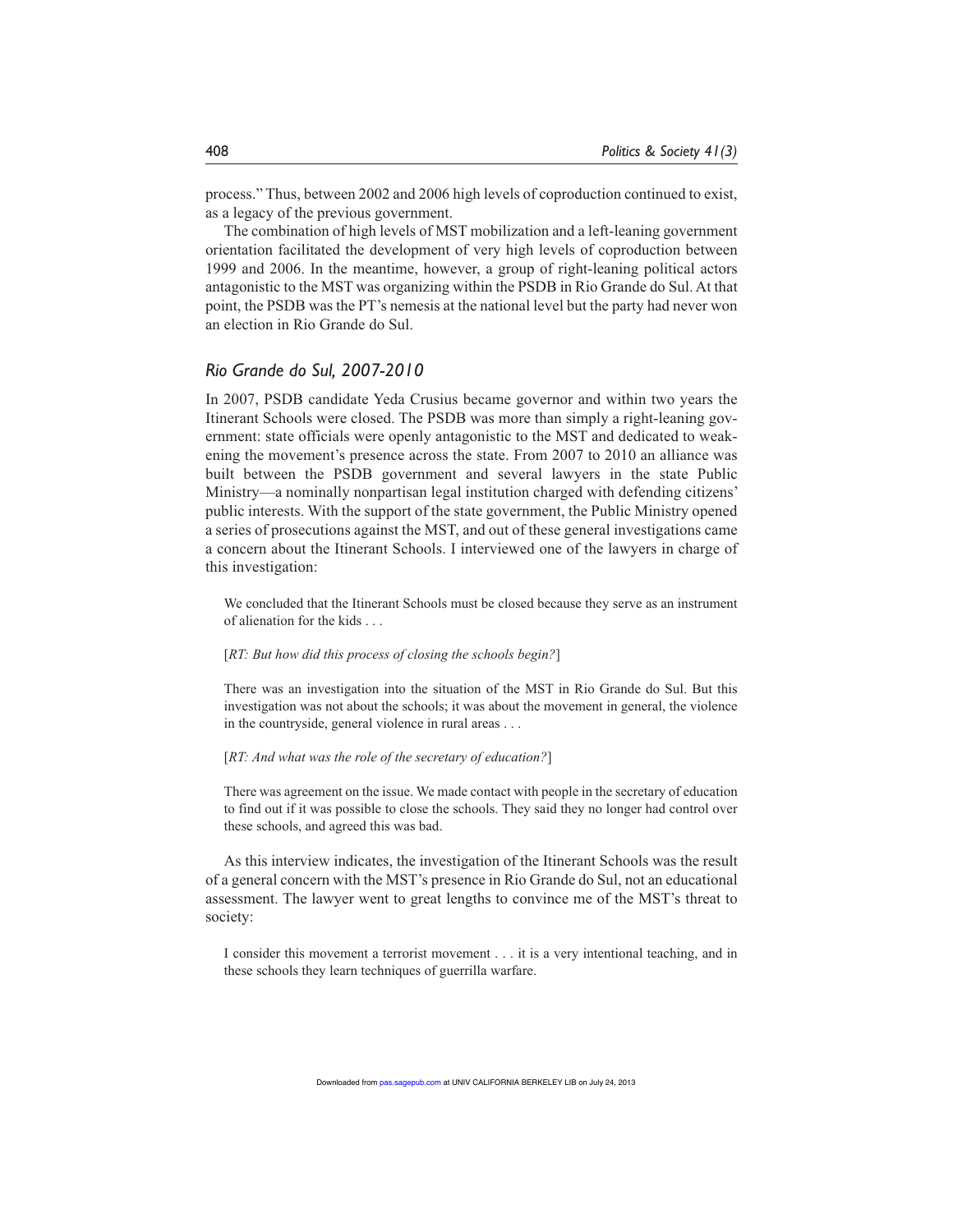process." Thus, between 2002 and 2006 high levels of coproduction continued to exist, as a legacy of the previous government.

The combination of high levels of MST mobilization and a left-leaning government orientation facilitated the development of very high levels of coproduction between 1999 and 2006. In the meantime, however, a group of right-leaning political actors antagonistic to the MST was organizing within the PSDB in Rio Grande do Sul. At that point, the PSDB was the PT's nemesis at the national level but the party had never won an election in Rio Grande do Sul.

## *Rio Grande do Sul, 2007-2010*

In 2007, PSDB candidate Yeda Crusius became governor and within two years the Itinerant Schools were closed. The PSDB was more than simply a right-leaning government: state officials were openly antagonistic to the MST and dedicated to weakening the movement's presence across the state. From 2007 to 2010 an alliance was built between the PSDB government and several lawyers in the state Public Ministry—a nominally nonpartisan legal institution charged with defending citizens' public interests. With the support of the state government, the Public Ministry opened a series of prosecutions against the MST, and out of these general investigations came a concern about the Itinerant Schools. I interviewed one of the lawyers in charge of this investigation:

We concluded that the Itinerant Schools must be closed because they serve as an instrument of alienation for the kids . . .

#### [*RT: But how did this process of closing the schools begin?*]

There was an investigation into the situation of the MST in Rio Grande do Sul. But this investigation was not about the schools; it was about the movement in general, the violence in the countryside, general violence in rural areas . . .

#### [*RT: And what was the role of the secretary of education?*]

There was agreement on the issue. We made contact with people in the secretary of education to find out if it was possible to close the schools. They said they no longer had control over these schools, and agreed this was bad.

As this interview indicates, the investigation of the Itinerant Schools was the result of a general concern with the MST's presence in Rio Grande do Sul, not an educational assessment. The lawyer went to great lengths to convince me of the MST's threat to society:

I consider this movement a terrorist movement . . . it is a very intentional teaching, and in these schools they learn techniques of guerrilla warfare.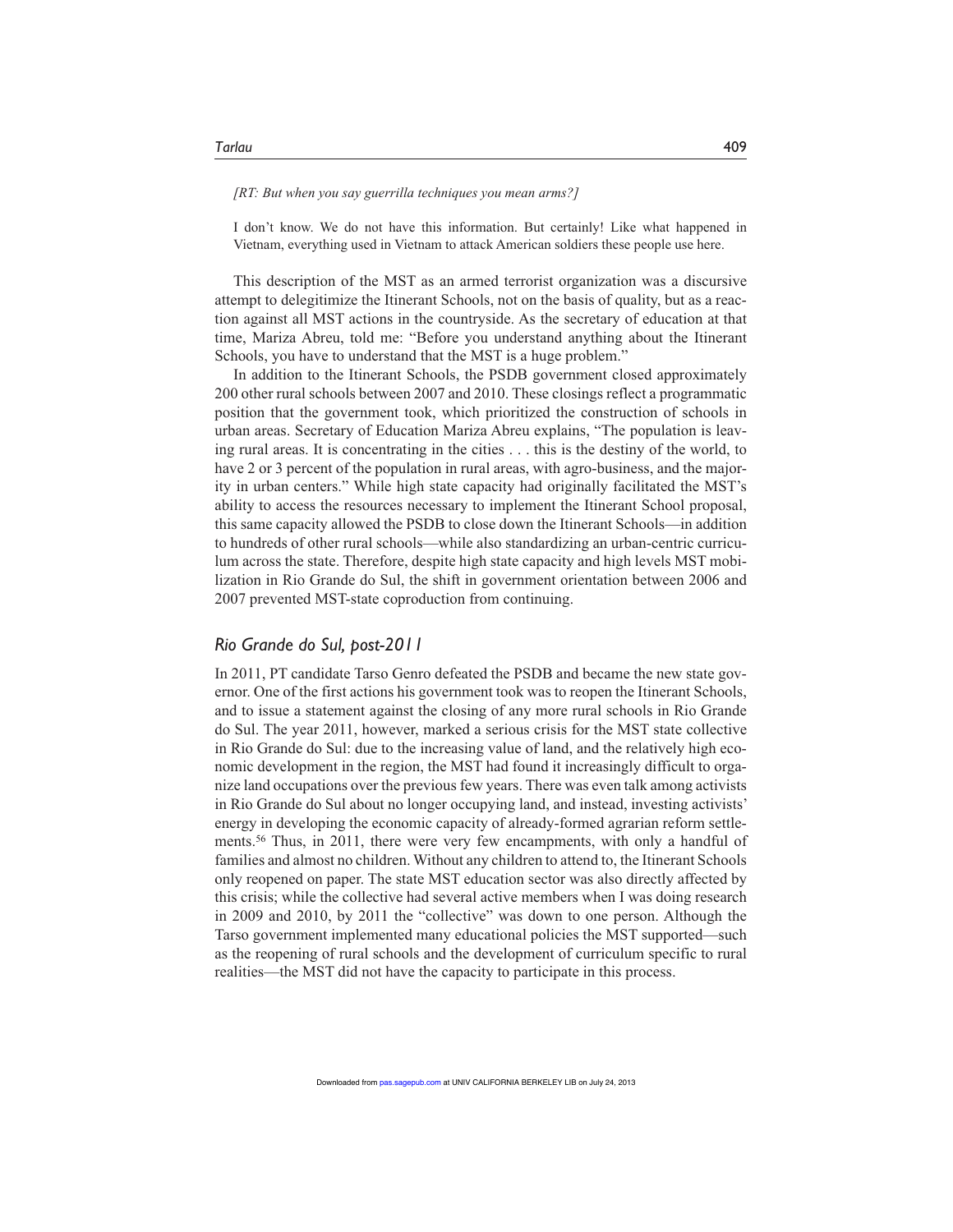### *[RT: But when you say guerrilla techniques you mean arms?]*

I don't know. We do not have this information. But certainly! Like what happened in Vietnam, everything used in Vietnam to attack American soldiers these people use here.

This description of the MST as an armed terrorist organization was a discursive attempt to delegitimize the Itinerant Schools, not on the basis of quality, but as a reaction against all MST actions in the countryside. As the secretary of education at that time, Mariza Abreu, told me: "Before you understand anything about the Itinerant Schools, you have to understand that the MST is a huge problem."

In addition to the Itinerant Schools, the PSDB government closed approximately 200 other rural schools between 2007 and 2010. These closings reflect a programmatic position that the government took, which prioritized the construction of schools in urban areas. Secretary of Education Mariza Abreu explains, "The population is leaving rural areas. It is concentrating in the cities . . . this is the destiny of the world, to have 2 or 3 percent of the population in rural areas, with agro-business, and the majority in urban centers." While high state capacity had originally facilitated the MST's ability to access the resources necessary to implement the Itinerant School proposal, this same capacity allowed the PSDB to close down the Itinerant Schools—in addition to hundreds of other rural schools—while also standardizing an urban-centric curriculum across the state. Therefore, despite high state capacity and high levels MST mobilization in Rio Grande do Sul, the shift in government orientation between 2006 and 2007 prevented MST-state coproduction from continuing.

## *Rio Grande do Sul, post-2011*

In 2011, PT candidate Tarso Genro defeated the PSDB and became the new state governor. One of the first actions his government took was to reopen the Itinerant Schools, and to issue a statement against the closing of any more rural schools in Rio Grande do Sul. The year 2011, however, marked a serious crisis for the MST state collective in Rio Grande do Sul: due to the increasing value of land, and the relatively high economic development in the region, the MST had found it increasingly difficult to organize land occupations over the previous few years. There was even talk among activists in Rio Grande do Sul about no longer occupying land, and instead, investing activists' energy in developing the economic capacity of already-formed agrarian reform settlements.56 Thus, in 2011, there were very few encampments, with only a handful of families and almost no children. Without any children to attend to, the Itinerant Schools only reopened on paper. The state MST education sector was also directly affected by this crisis; while the collective had several active members when I was doing research in 2009 and 2010, by 2011 the "collective" was down to one person. Although the Tarso government implemented many educational policies the MST supported—such as the reopening of rural schools and the development of curriculum specific to rural realities—the MST did not have the capacity to participate in this process.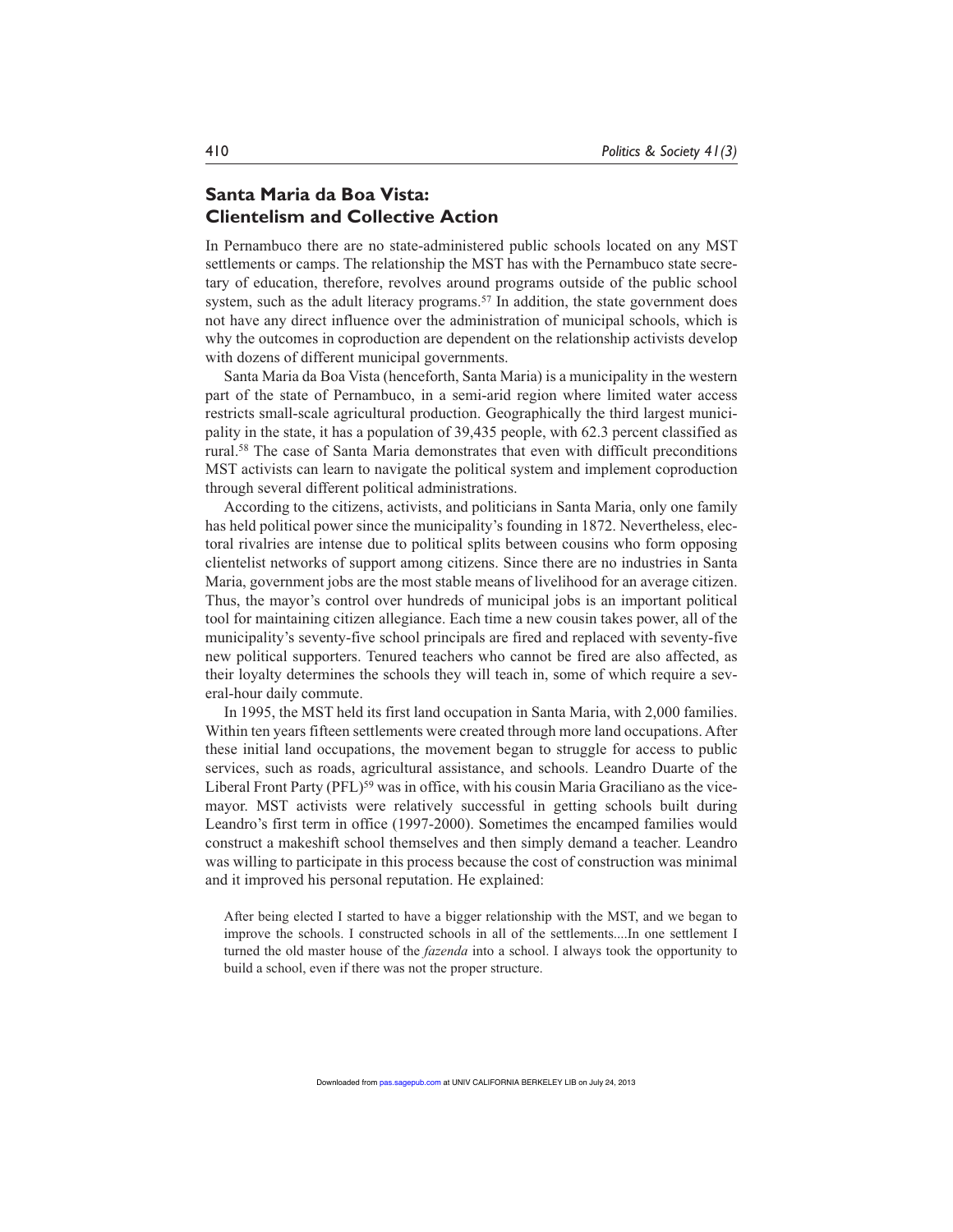# **Santa Maria da Boa Vista: Clientelism and Collective Action**

In Pernambuco there are no state-administered public schools located on any MST settlements or camps. The relationship the MST has with the Pernambuco state secretary of education, therefore, revolves around programs outside of the public school system, such as the adult literacy programs.<sup>57</sup> In addition, the state government does not have any direct influence over the administration of municipal schools, which is why the outcomes in coproduction are dependent on the relationship activists develop with dozens of different municipal governments.

Santa Maria da Boa Vista (henceforth, Santa Maria) is a municipality in the western part of the state of Pernambuco, in a semi-arid region where limited water access restricts small-scale agricultural production. Geographically the third largest municipality in the state, it has a population of 39,435 people, with 62.3 percent classified as rural.58 The case of Santa Maria demonstrates that even with difficult preconditions MST activists can learn to navigate the political system and implement coproduction through several different political administrations.

According to the citizens, activists, and politicians in Santa Maria, only one family has held political power since the municipality's founding in 1872. Nevertheless, electoral rivalries are intense due to political splits between cousins who form opposing clientelist networks of support among citizens. Since there are no industries in Santa Maria, government jobs are the most stable means of livelihood for an average citizen. Thus, the mayor's control over hundreds of municipal jobs is an important political tool for maintaining citizen allegiance. Each time a new cousin takes power, all of the municipality's seventy-five school principals are fired and replaced with seventy-five new political supporters. Tenured teachers who cannot be fired are also affected, as their loyalty determines the schools they will teach in, some of which require a several-hour daily commute.

In 1995, the MST held its first land occupation in Santa Maria, with 2,000 families. Within ten years fifteen settlements were created through more land occupations. After these initial land occupations, the movement began to struggle for access to public services, such as roads, agricultural assistance, and schools. Leandro Duarte of the Liberal Front Party (PFL)<sup>59</sup> was in office, with his cousin Maria Graciliano as the vicemayor. MST activists were relatively successful in getting schools built during Leandro's first term in office (1997-2000). Sometimes the encamped families would construct a makeshift school themselves and then simply demand a teacher. Leandro was willing to participate in this process because the cost of construction was minimal and it improved his personal reputation. He explained:

After being elected I started to have a bigger relationship with the MST, and we began to improve the schools. I constructed schools in all of the settlements....In one settlement I turned the old master house of the *fazenda* into a school. I always took the opportunity to build a school, even if there was not the proper structure.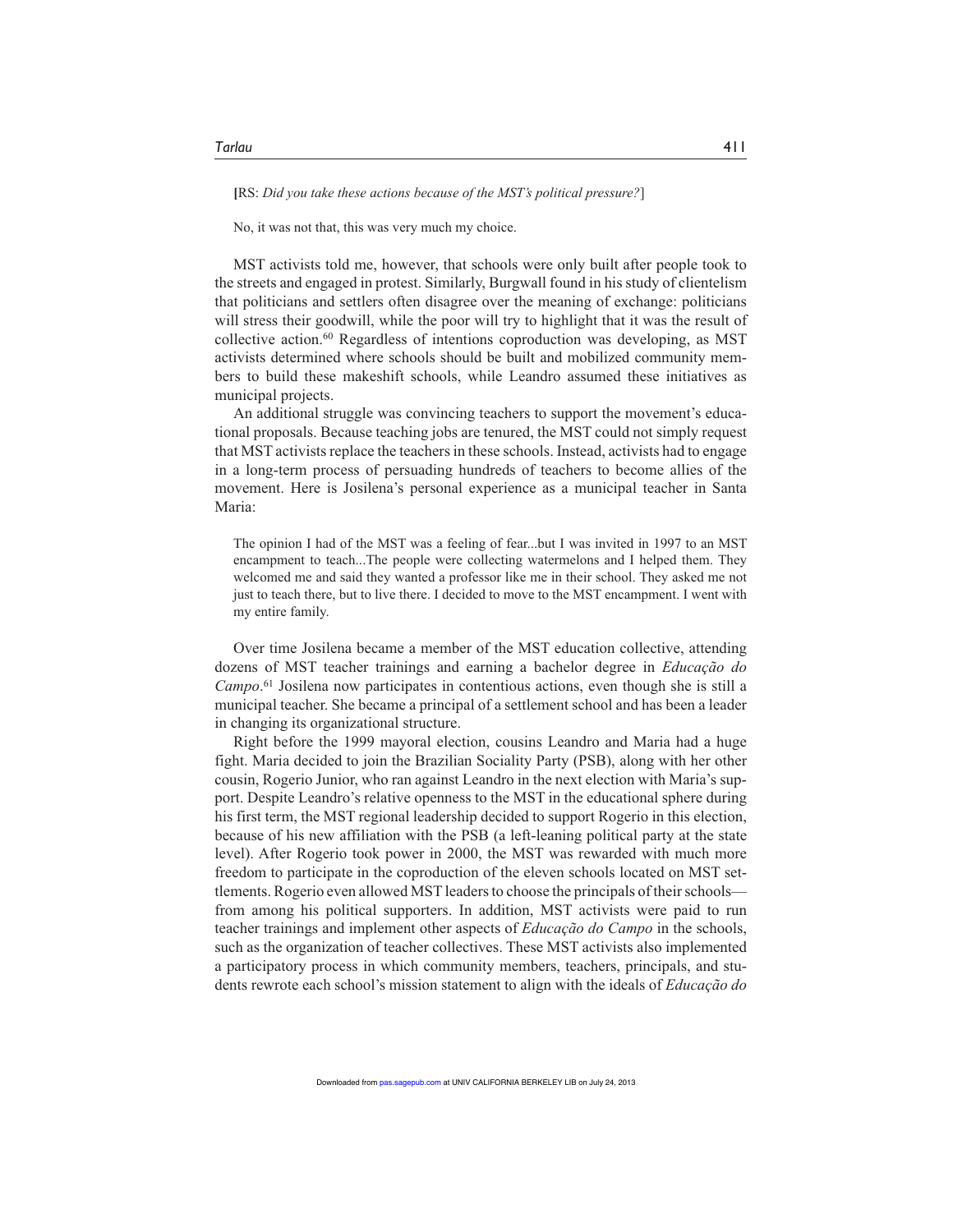**[**RS: *Did you take these actions because of the MST's political pressure?*]

No, it was not that, this was very much my choice.

MST activists told me, however, that schools were only built after people took to the streets and engaged in protest. Similarly, Burgwall found in his study of clientelism that politicians and settlers often disagree over the meaning of exchange: politicians will stress their goodwill, while the poor will try to highlight that it was the result of collective action.60 Regardless of intentions coproduction was developing, as MST activists determined where schools should be built and mobilized community members to build these makeshift schools, while Leandro assumed these initiatives as municipal projects.

An additional struggle was convincing teachers to support the movement's educational proposals. Because teaching jobs are tenured, the MST could not simply request that MST activists replace the teachers in these schools. Instead, activists had to engage in a long-term process of persuading hundreds of teachers to become allies of the movement. Here is Josilena's personal experience as a municipal teacher in Santa Maria:

The opinion I had of the MST was a feeling of fear...but I was invited in 1997 to an MST encampment to teach...The people were collecting watermelons and I helped them. They welcomed me and said they wanted a professor like me in their school. They asked me not just to teach there, but to live there. I decided to move to the MST encampment. I went with my entire family.

Over time Josilena became a member of the MST education collective, attending dozens of MST teacher trainings and earning a bachelor degree in *Educação do Campo*. 61 Josilena now participates in contentious actions, even though she is still a municipal teacher. She became a principal of a settlement school and has been a leader in changing its organizational structure.

Right before the 1999 mayoral election, cousins Leandro and Maria had a huge fight. Maria decided to join the Brazilian Sociality Party (PSB), along with her other cousin, Rogerio Junior, who ran against Leandro in the next election with Maria's support. Despite Leandro's relative openness to the MST in the educational sphere during his first term, the MST regional leadership decided to support Rogerio in this election, because of his new affiliation with the PSB (a left-leaning political party at the state level). After Rogerio took power in 2000, the MST was rewarded with much more freedom to participate in the coproduction of the eleven schools located on MST settlements. Rogerio even allowed MST leaders to choose the principals of their schools from among his political supporters. In addition, MST activists were paid to run teacher trainings and implement other aspects of *Educação do Campo* in the schools, such as the organization of teacher collectives. These MST activists also implemented a participatory process in which community members, teachers, principals, and students rewrote each school's mission statement to align with the ideals of *Educação do*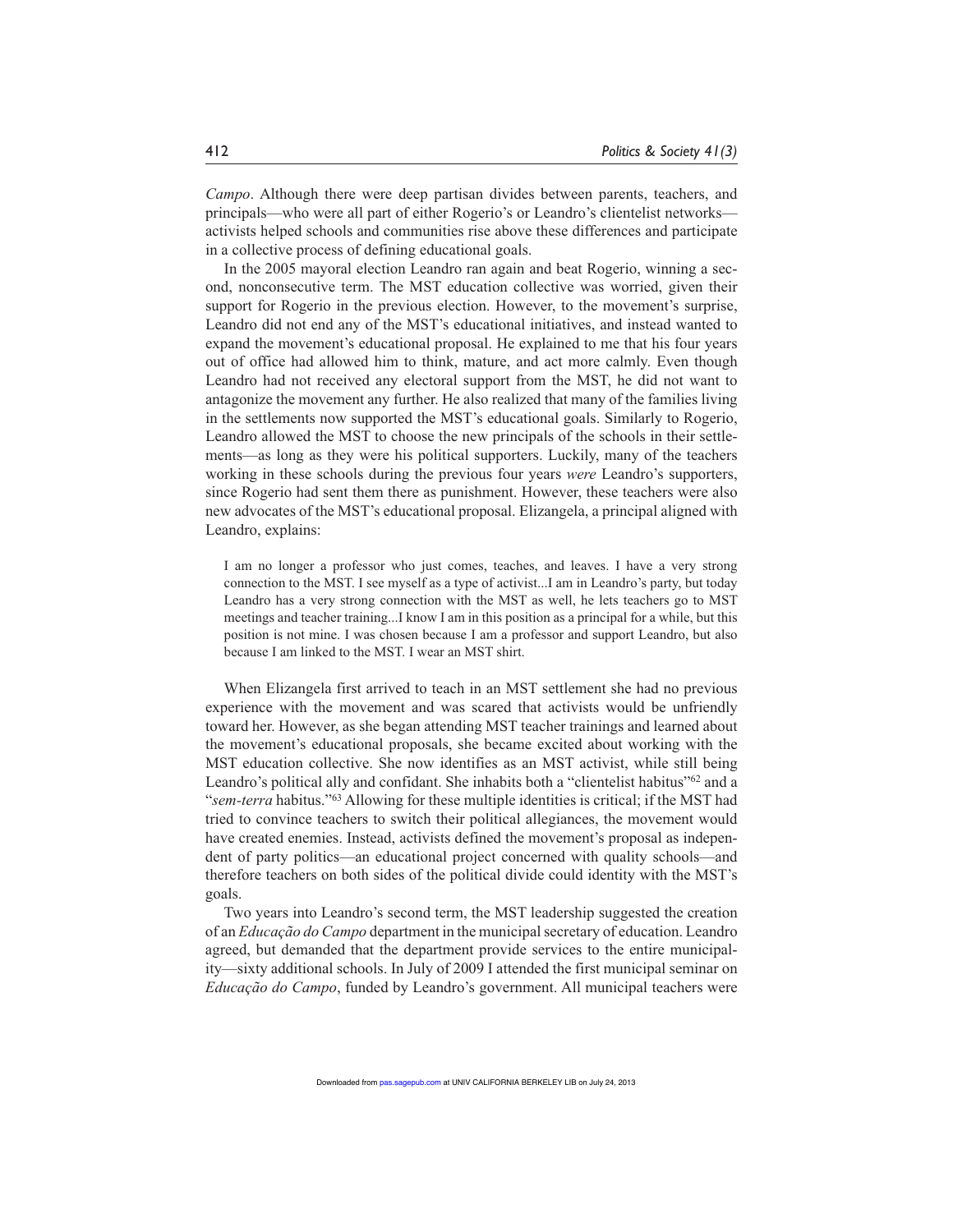*Campo*. Although there were deep partisan divides between parents, teachers, and principals—who were all part of either Rogerio's or Leandro's clientelist networks activists helped schools and communities rise above these differences and participate in a collective process of defining educational goals.

In the 2005 mayoral election Leandro ran again and beat Rogerio, winning a second, nonconsecutive term. The MST education collective was worried, given their support for Rogerio in the previous election. However, to the movement's surprise, Leandro did not end any of the MST's educational initiatives, and instead wanted to expand the movement's educational proposal. He explained to me that his four years out of office had allowed him to think, mature, and act more calmly. Even though Leandro had not received any electoral support from the MST, he did not want to antagonize the movement any further. He also realized that many of the families living in the settlements now supported the MST's educational goals. Similarly to Rogerio, Leandro allowed the MST to choose the new principals of the schools in their settlements—as long as they were his political supporters. Luckily, many of the teachers working in these schools during the previous four years *were* Leandro's supporters, since Rogerio had sent them there as punishment. However, these teachers were also new advocates of the MST's educational proposal. Elizangela, a principal aligned with Leandro, explains:

I am no longer a professor who just comes, teaches, and leaves. I have a very strong connection to the MST. I see myself as a type of activist...I am in Leandro's party, but today Leandro has a very strong connection with the MST as well, he lets teachers go to MST meetings and teacher training...I know I am in this position as a principal for a while, but this position is not mine. I was chosen because I am a professor and support Leandro, but also because I am linked to the MST. I wear an MST shirt.

When Elizangela first arrived to teach in an MST settlement she had no previous experience with the movement and was scared that activists would be unfriendly toward her. However, as she began attending MST teacher trainings and learned about the movement's educational proposals, she became excited about working with the MST education collective. She now identifies as an MST activist, while still being Leandro's political ally and confidant. She inhabits both a "clientelist habitus"<sup>62</sup> and a "*sem-terra* habitus."63 Allowing for these multiple identities is critical; if the MST had tried to convince teachers to switch their political allegiances, the movement would have created enemies. Instead, activists defined the movement's proposal as independent of party politics—an educational project concerned with quality schools—and therefore teachers on both sides of the political divide could identity with the MST's goals.

Two years into Leandro's second term, the MST leadership suggested the creation of an *Educação do Campo* department in the municipal secretary of education. Leandro agreed, but demanded that the department provide services to the entire municipality—sixty additional schools. In July of 2009 I attended the first municipal seminar on *Educação do Campo*, funded by Leandro's government. All municipal teachers were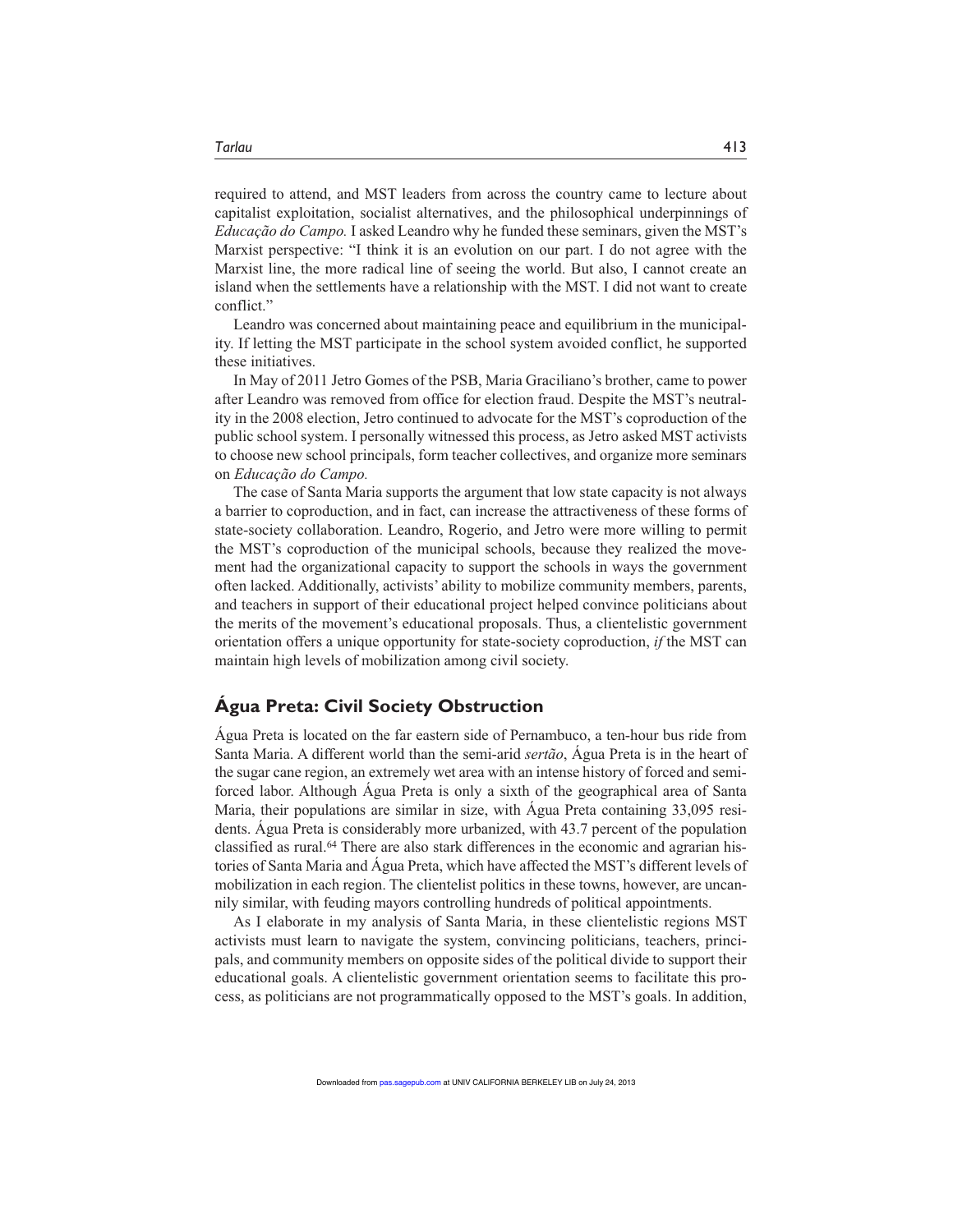required to attend, and MST leaders from across the country came to lecture about capitalist exploitation, socialist alternatives, and the philosophical underpinnings of *Educação do Campo.* I asked Leandro why he funded these seminars, given the MST's Marxist perspective: "I think it is an evolution on our part. I do not agree with the Marxist line, the more radical line of seeing the world. But also, I cannot create an island when the settlements have a relationship with the MST. I did not want to create conflict."

Leandro was concerned about maintaining peace and equilibrium in the municipality. If letting the MST participate in the school system avoided conflict, he supported these initiatives.

In May of 2011 Jetro Gomes of the PSB, Maria Graciliano's brother, came to power after Leandro was removed from office for election fraud. Despite the MST's neutrality in the 2008 election, Jetro continued to advocate for the MST's coproduction of the public school system. I personally witnessed this process, as Jetro asked MST activists to choose new school principals, form teacher collectives, and organize more seminars on *Educação do Campo.*

The case of Santa Maria supports the argument that low state capacity is not always a barrier to coproduction, and in fact, can increase the attractiveness of these forms of state-society collaboration. Leandro, Rogerio, and Jetro were more willing to permit the MST's coproduction of the municipal schools, because they realized the movement had the organizational capacity to support the schools in ways the government often lacked. Additionally, activists' ability to mobilize community members, parents, and teachers in support of their educational project helped convince politicians about the merits of the movement's educational proposals. Thus, a clientelistic government orientation offers a unique opportunity for state-society coproduction, *if* the MST can maintain high levels of mobilization among civil society.

# **Água Preta: Civil Society Obstruction**

Água Preta is located on the far eastern side of Pernambuco, a ten-hour bus ride from Santa Maria. A different world than the semi-arid *sertão*, Água Preta is in the heart of the sugar cane region, an extremely wet area with an intense history of forced and semiforced labor. Although Água Preta is only a sixth of the geographical area of Santa Maria, their populations are similar in size, with Água Preta containing 33,095 residents. Água Preta is considerably more urbanized, with 43.7 percent of the population classified as rural.64 There are also stark differences in the economic and agrarian histories of Santa Maria and Água Preta, which have affected the MST's different levels of mobilization in each region. The clientelist politics in these towns, however, are uncannily similar, with feuding mayors controlling hundreds of political appointments.

As I elaborate in my analysis of Santa Maria, in these clientelistic regions MST activists must learn to navigate the system, convincing politicians, teachers, principals, and community members on opposite sides of the political divide to support their educational goals. A clientelistic government orientation seems to facilitate this process, as politicians are not programmatically opposed to the MST's goals. In addition,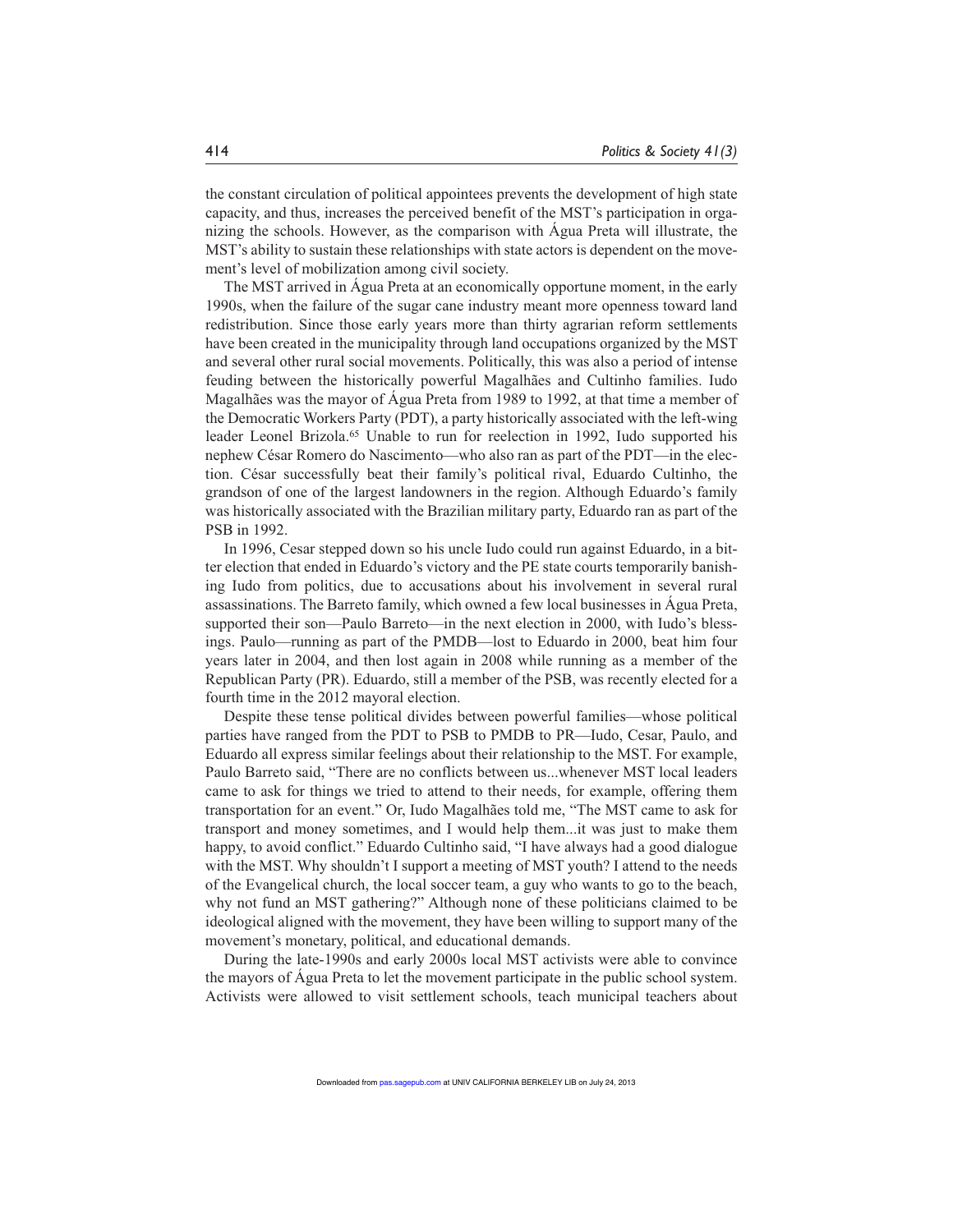the constant circulation of political appointees prevents the development of high state capacity, and thus, increases the perceived benefit of the MST's participation in organizing the schools. However, as the comparison with Água Preta will illustrate, the MST's ability to sustain these relationships with state actors is dependent on the movement's level of mobilization among civil society.

The MST arrived in Água Preta at an economically opportune moment, in the early 1990s, when the failure of the sugar cane industry meant more openness toward land redistribution. Since those early years more than thirty agrarian reform settlements have been created in the municipality through land occupations organized by the MST and several other rural social movements. Politically, this was also a period of intense feuding between the historically powerful Magalhães and Cultinho families. Iudo Magalhães was the mayor of Água Preta from 1989 to 1992, at that time a member of the Democratic Workers Party (PDT), a party historically associated with the left-wing leader Leonel Brizola.65 Unable to run for reelection in 1992, Iudo supported his nephew César Romero do Nascimento—who also ran as part of the PDT—in the election. César successfully beat their family's political rival, Eduardo Cultinho, the grandson of one of the largest landowners in the region. Although Eduardo's family was historically associated with the Brazilian military party, Eduardo ran as part of the PSB in 1992.

In 1996, Cesar stepped down so his uncle Iudo could run against Eduardo, in a bitter election that ended in Eduardo's victory and the PE state courts temporarily banishing Iudo from politics, due to accusations about his involvement in several rural assassinations. The Barreto family, which owned a few local businesses in Água Preta, supported their son—Paulo Barreto—in the next election in 2000, with Iudo's blessings. Paulo—running as part of the PMDB—lost to Eduardo in 2000, beat him four years later in 2004, and then lost again in 2008 while running as a member of the Republican Party (PR). Eduardo, still a member of the PSB, was recently elected for a fourth time in the 2012 mayoral election.

Despite these tense political divides between powerful families—whose political parties have ranged from the PDT to PSB to PMDB to PR—Iudo, Cesar, Paulo, and Eduardo all express similar feelings about their relationship to the MST. For example, Paulo Barreto said, "There are no conflicts between us...whenever MST local leaders came to ask for things we tried to attend to their needs, for example, offering them transportation for an event." Or, Iudo Magalhães told me, "The MST came to ask for transport and money sometimes, and I would help them...it was just to make them happy, to avoid conflict." Eduardo Cultinho said, "I have always had a good dialogue with the MST. Why shouldn't I support a meeting of MST youth? I attend to the needs of the Evangelical church, the local soccer team, a guy who wants to go to the beach, why not fund an MST gathering?" Although none of these politicians claimed to be ideological aligned with the movement, they have been willing to support many of the movement's monetary, political, and educational demands.

During the late-1990s and early 2000s local MST activists were able to convince the mayors of Água Preta to let the movement participate in the public school system. Activists were allowed to visit settlement schools, teach municipal teachers about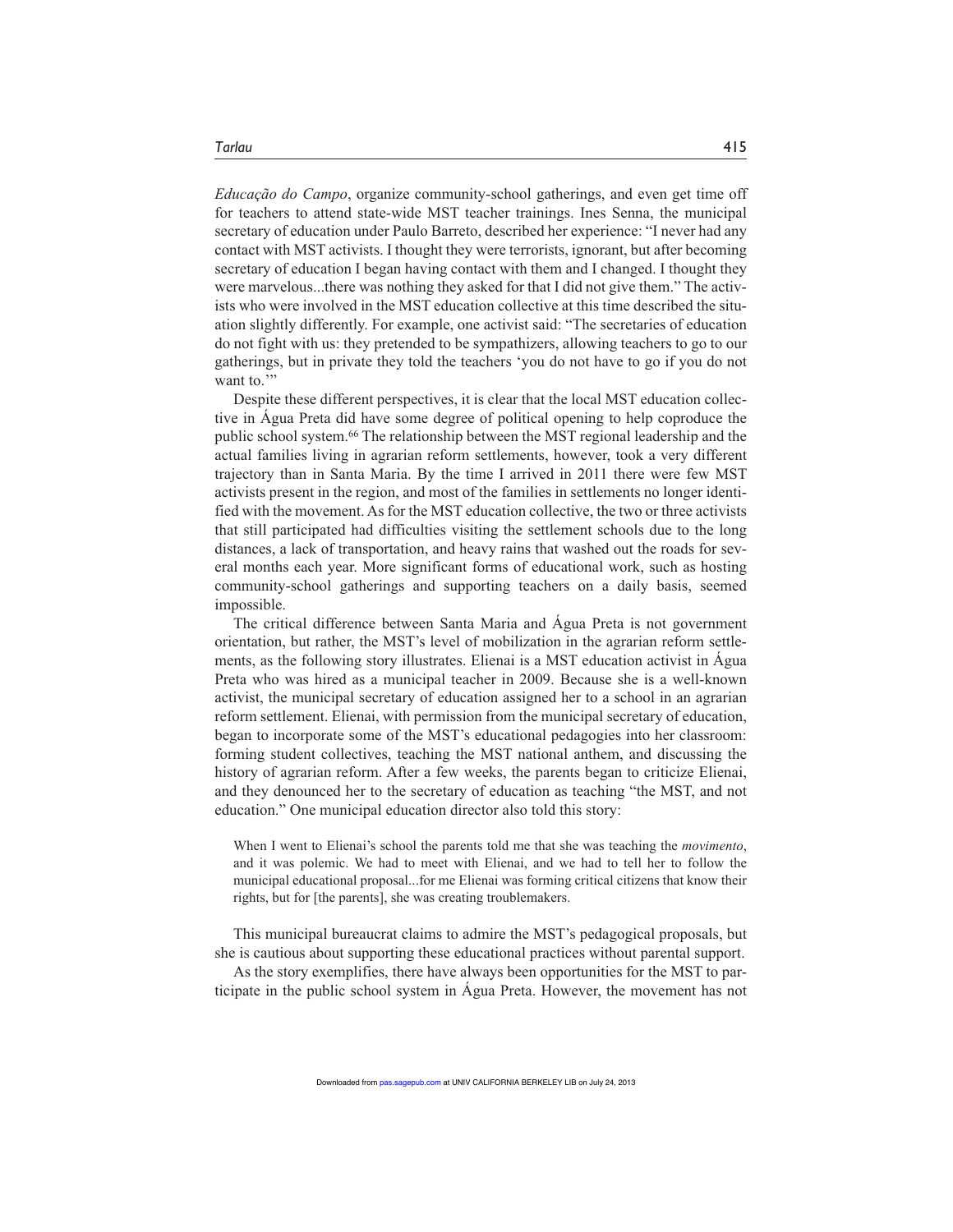#### *Tarlau* 415

*Educação do Campo*, organize community-school gatherings, and even get time off for teachers to attend state-wide MST teacher trainings. Ines Senna, the municipal secretary of education under Paulo Barreto, described her experience: "I never had any contact with MST activists. I thought they were terrorists, ignorant, but after becoming secretary of education I began having contact with them and I changed. I thought they were marvelous...there was nothing they asked for that I did not give them." The activists who were involved in the MST education collective at this time described the situation slightly differently. For example, one activist said: "The secretaries of education do not fight with us: they pretended to be sympathizers, allowing teachers to go to our gatherings, but in private they told the teachers 'you do not have to go if you do not want to."

Despite these different perspectives, it is clear that the local MST education collective in Água Preta did have some degree of political opening to help coproduce the public school system.<sup>66</sup> The relationship between the MST regional leadership and the actual families living in agrarian reform settlements, however, took a very different trajectory than in Santa Maria. By the time I arrived in 2011 there were few MST activists present in the region, and most of the families in settlements no longer identified with the movement. As for the MST education collective, the two or three activists that still participated had difficulties visiting the settlement schools due to the long distances, a lack of transportation, and heavy rains that washed out the roads for several months each year. More significant forms of educational work, such as hosting community-school gatherings and supporting teachers on a daily basis, seemed impossible.

The critical difference between Santa Maria and Água Preta is not government orientation, but rather, the MST's level of mobilization in the agrarian reform settlements, as the following story illustrates. Elienai is a MST education activist in Água Preta who was hired as a municipal teacher in 2009. Because she is a well-known activist, the municipal secretary of education assigned her to a school in an agrarian reform settlement. Elienai, with permission from the municipal secretary of education, began to incorporate some of the MST's educational pedagogies into her classroom: forming student collectives, teaching the MST national anthem, and discussing the history of agrarian reform. After a few weeks, the parents began to criticize Elienai, and they denounced her to the secretary of education as teaching "the MST, and not education." One municipal education director also told this story:

When I went to Elienai's school the parents told me that she was teaching the *movimento*, and it was polemic. We had to meet with Elienai, and we had to tell her to follow the municipal educational proposal...for me Elienai was forming critical citizens that know their rights, but for [the parents], she was creating troublemakers.

This municipal bureaucrat claims to admire the MST's pedagogical proposals, but she is cautious about supporting these educational practices without parental support.

As the story exemplifies, there have always been opportunities for the MST to participate in the public school system in Água Preta. However, the movement has not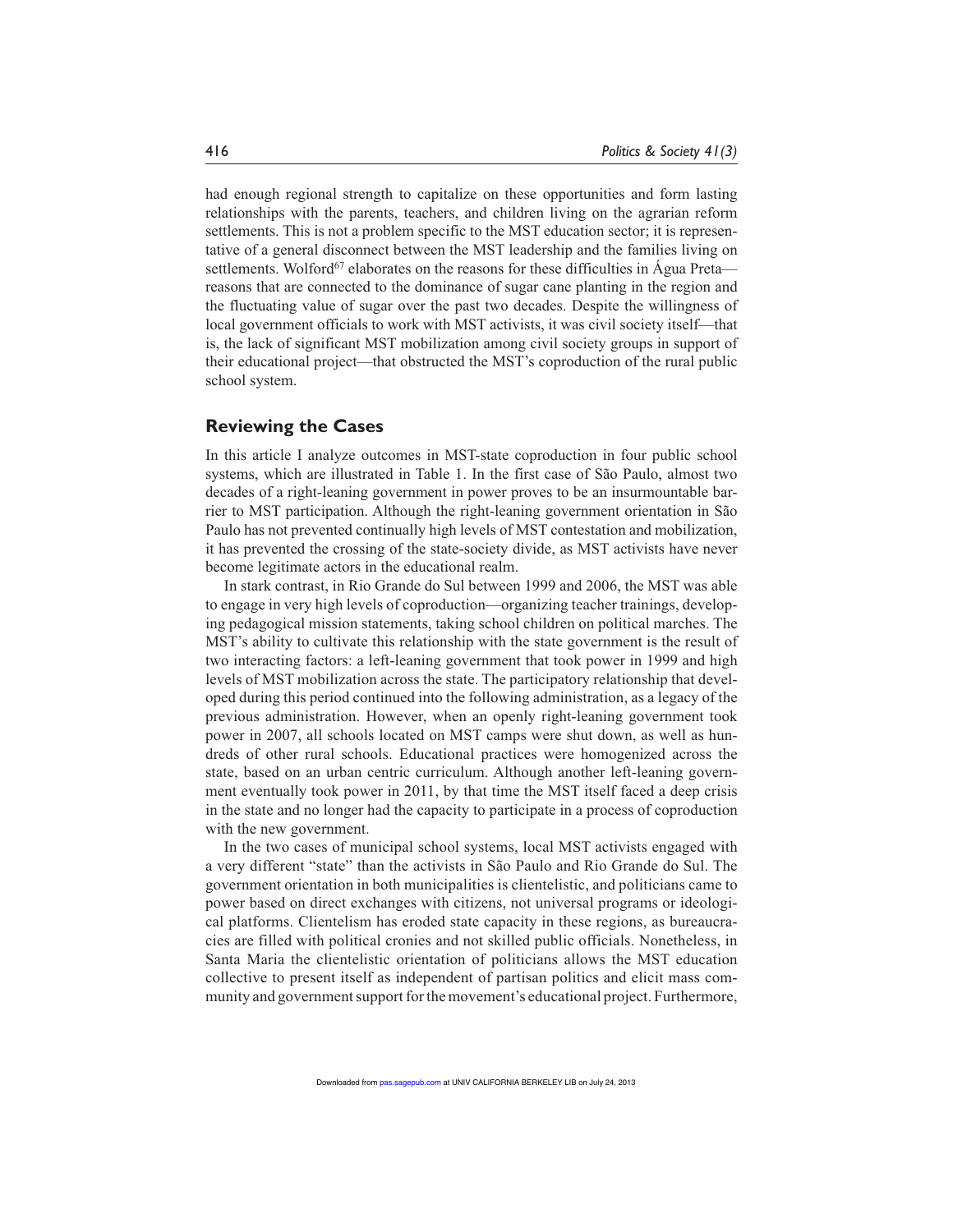had enough regional strength to capitalize on these opportunities and form lasting relationships with the parents, teachers, and children living on the agrarian reform settlements. This is not a problem specific to the MST education sector; it is representative of a general disconnect between the MST leadership and the families living on settlements. Wolford<sup>67</sup> elaborates on the reasons for these difficulties in Água Preta reasons that are connected to the dominance of sugar cane planting in the region and the fluctuating value of sugar over the past two decades. Despite the willingness of local government officials to work with MST activists, it was civil society itself—that is, the lack of significant MST mobilization among civil society groups in support of their educational project—that obstructed the MST's coproduction of the rural public school system.

## **Reviewing the Cases**

In this article I analyze outcomes in MST-state coproduction in four public school systems, which are illustrated in Table 1. In the first case of São Paulo, almost two decades of a right-leaning government in power proves to be an insurmountable barrier to MST participation. Although the right-leaning government orientation in São Paulo has not prevented continually high levels of MST contestation and mobilization, it has prevented the crossing of the state-society divide, as MST activists have never become legitimate actors in the educational realm.

In stark contrast, in Rio Grande do Sul between 1999 and 2006, the MST was able to engage in very high levels of coproduction—organizing teacher trainings, developing pedagogical mission statements, taking school children on political marches. The MST's ability to cultivate this relationship with the state government is the result of two interacting factors: a left-leaning government that took power in 1999 and high levels of MST mobilization across the state. The participatory relationship that developed during this period continued into the following administration, as a legacy of the previous administration. However, when an openly right-leaning government took power in 2007, all schools located on MST camps were shut down, as well as hundreds of other rural schools. Educational practices were homogenized across the state, based on an urban centric curriculum. Although another left-leaning government eventually took power in 2011, by that time the MST itself faced a deep crisis in the state and no longer had the capacity to participate in a process of coproduction with the new government.

In the two cases of municipal school systems, local MST activists engaged with a very different "state" than the activists in São Paulo and Rio Grande do Sul. The government orientation in both municipalities is clientelistic, and politicians came to power based on direct exchanges with citizens, not universal programs or ideological platforms. Clientelism has eroded state capacity in these regions, as bureaucracies are filled with political cronies and not skilled public officials. Nonetheless, in Santa Maria the clientelistic orientation of politicians allows the MST education collective to present itself as independent of partisan politics and elicit mass community and government support for the movement's educational project. Furthermore,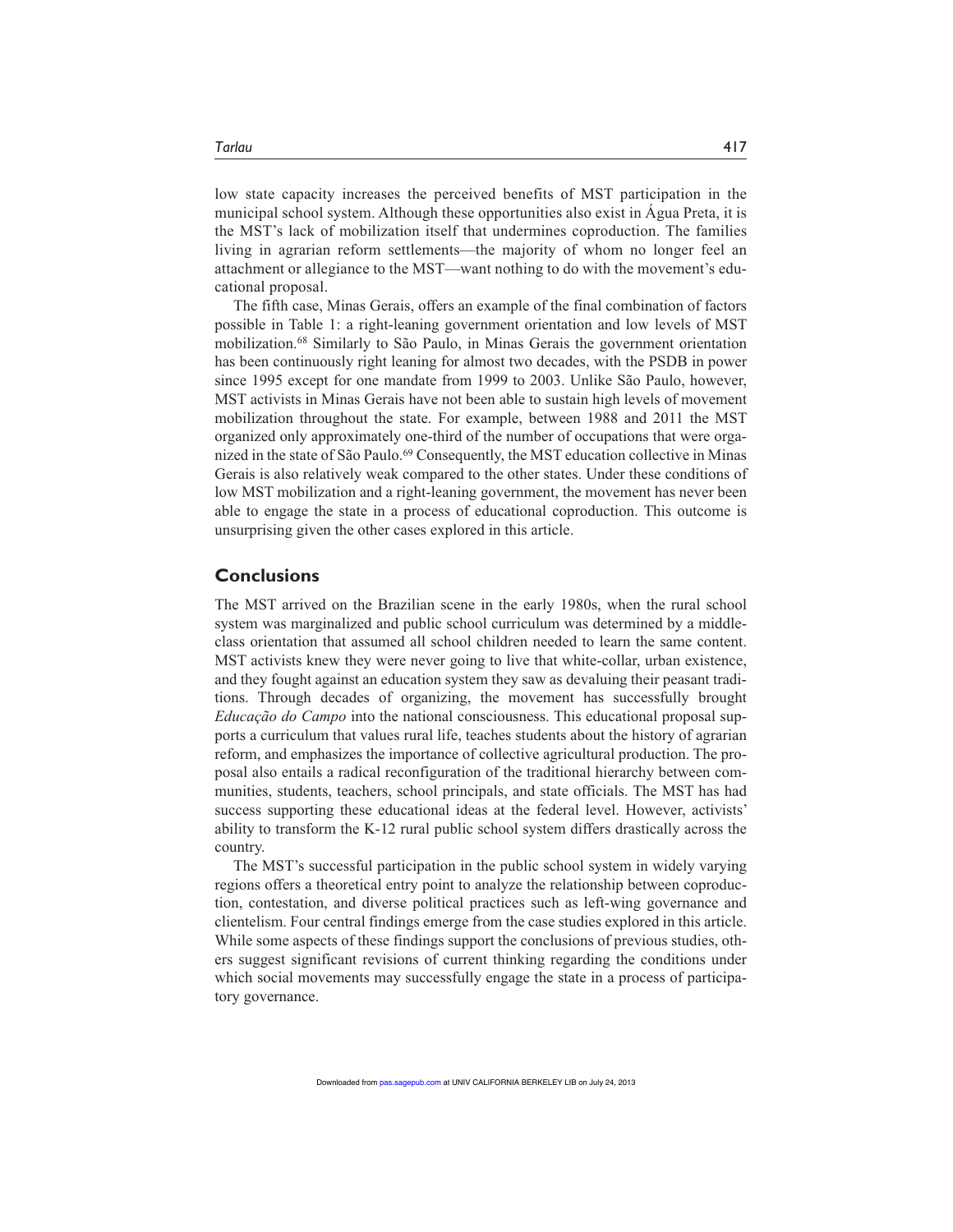low state capacity increases the perceived benefits of MST participation in the municipal school system. Although these opportunities also exist in Água Preta, it is the MST's lack of mobilization itself that undermines coproduction. The families living in agrarian reform settlements—the majority of whom no longer feel an attachment or allegiance to the MST—want nothing to do with the movement's educational proposal.

The fifth case, Minas Gerais, offers an example of the final combination of factors possible in Table 1: a right-leaning government orientation and low levels of MST mobilization.68 Similarly to São Paulo, in Minas Gerais the government orientation has been continuously right leaning for almost two decades, with the PSDB in power since 1995 except for one mandate from 1999 to 2003. Unlike São Paulo, however, MST activists in Minas Gerais have not been able to sustain high levels of movement mobilization throughout the state. For example, between 1988 and 2011 the MST organized only approximately one-third of the number of occupations that were organized in the state of São Paulo.69 Consequently, the MST education collective in Minas Gerais is also relatively weak compared to the other states. Under these conditions of low MST mobilization and a right-leaning government, the movement has never been able to engage the state in a process of educational coproduction. This outcome is unsurprising given the other cases explored in this article.

## **Conclusions**

The MST arrived on the Brazilian scene in the early 1980s, when the rural school system was marginalized and public school curriculum was determined by a middleclass orientation that assumed all school children needed to learn the same content. MST activists knew they were never going to live that white-collar, urban existence, and they fought against an education system they saw as devaluing their peasant traditions. Through decades of organizing, the movement has successfully brought *Educação do Campo* into the national consciousness. This educational proposal supports a curriculum that values rural life, teaches students about the history of agrarian reform, and emphasizes the importance of collective agricultural production. The proposal also entails a radical reconfiguration of the traditional hierarchy between communities, students, teachers, school principals, and state officials. The MST has had success supporting these educational ideas at the federal level. However, activists' ability to transform the K-12 rural public school system differs drastically across the country.

The MST's successful participation in the public school system in widely varying regions offers a theoretical entry point to analyze the relationship between coproduction, contestation, and diverse political practices such as left-wing governance and clientelism. Four central findings emerge from the case studies explored in this article. While some aspects of these findings support the conclusions of previous studies, others suggest significant revisions of current thinking regarding the conditions under which social movements may successfully engage the state in a process of participatory governance.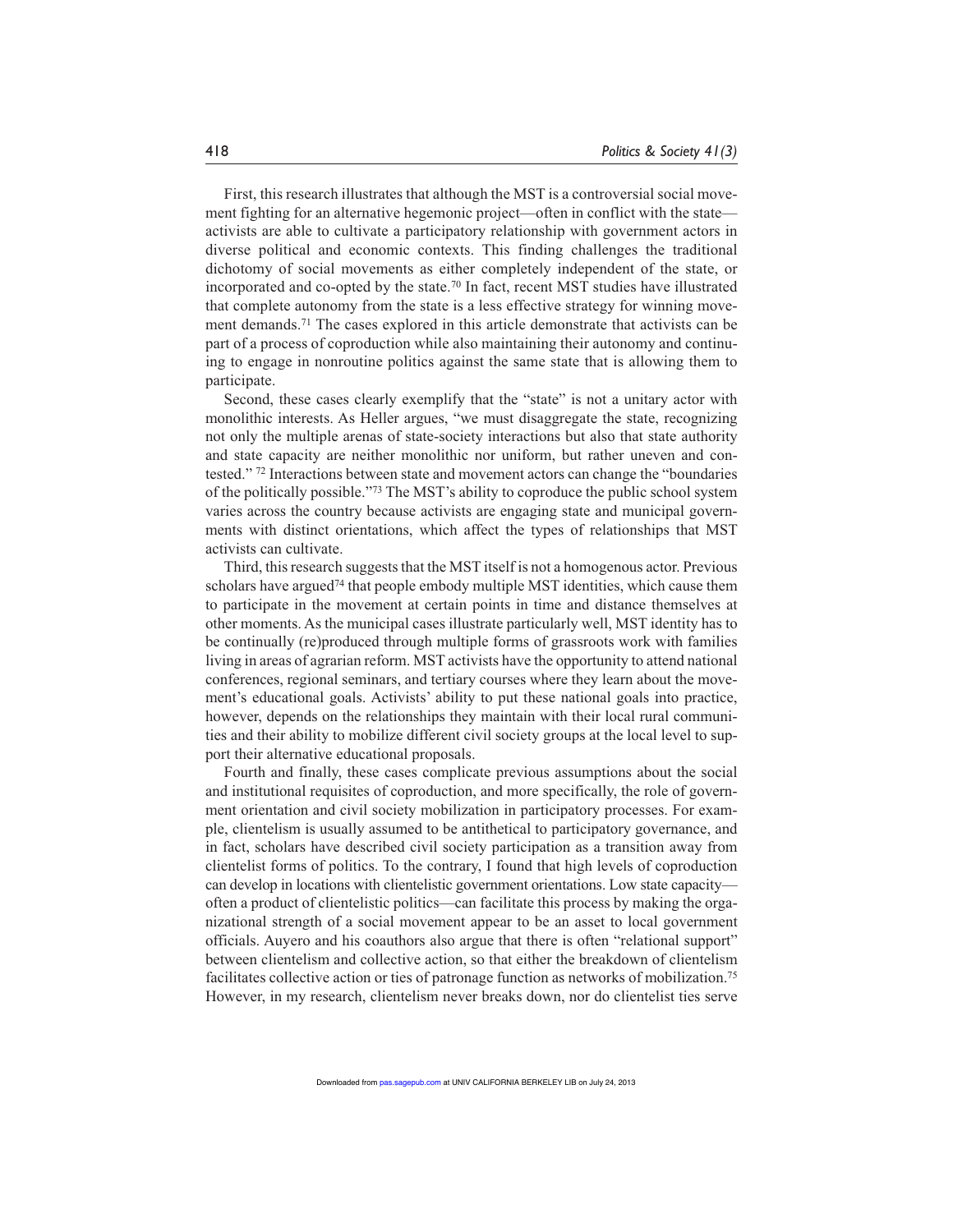First, this research illustrates that although the MST is a controversial social movement fighting for an alternative hegemonic project—often in conflict with the state activists are able to cultivate a participatory relationship with government actors in diverse political and economic contexts. This finding challenges the traditional dichotomy of social movements as either completely independent of the state, or incorporated and co-opted by the state.70 In fact, recent MST studies have illustrated that complete autonomy from the state is a less effective strategy for winning movement demands.71 The cases explored in this article demonstrate that activists can be part of a process of coproduction while also maintaining their autonomy and continuing to engage in nonroutine politics against the same state that is allowing them to participate.

Second, these cases clearly exemplify that the "state" is not a unitary actor with monolithic interests. As Heller argues, "we must disaggregate the state, recognizing not only the multiple arenas of state-society interactions but also that state authority and state capacity are neither monolithic nor uniform, but rather uneven and contested." 72 Interactions between state and movement actors can change the "boundaries of the politically possible."73 The MST's ability to coproduce the public school system varies across the country because activists are engaging state and municipal governments with distinct orientations, which affect the types of relationships that MST activists can cultivate.

Third, this research suggests that the MST itself is not a homogenous actor. Previous scholars have argued<sup>74</sup> that people embody multiple MST identities, which cause them to participate in the movement at certain points in time and distance themselves at other moments. As the municipal cases illustrate particularly well, MST identity has to be continually (re)produced through multiple forms of grassroots work with families living in areas of agrarian reform. MST activists have the opportunity to attend national conferences, regional seminars, and tertiary courses where they learn about the movement's educational goals. Activists' ability to put these national goals into practice, however, depends on the relationships they maintain with their local rural communities and their ability to mobilize different civil society groups at the local level to support their alternative educational proposals.

Fourth and finally, these cases complicate previous assumptions about the social and institutional requisites of coproduction, and more specifically, the role of government orientation and civil society mobilization in participatory processes. For example, clientelism is usually assumed to be antithetical to participatory governance, and in fact, scholars have described civil society participation as a transition away from clientelist forms of politics. To the contrary, I found that high levels of coproduction can develop in locations with clientelistic government orientations. Low state capacity often a product of clientelistic politics—can facilitate this process by making the organizational strength of a social movement appear to be an asset to local government officials. Auyero and his coauthors also argue that there is often "relational support" between clientelism and collective action, so that either the breakdown of clientelism facilitates collective action or ties of patronage function as networks of mobilization.75 However, in my research, clientelism never breaks down, nor do clientelist ties serve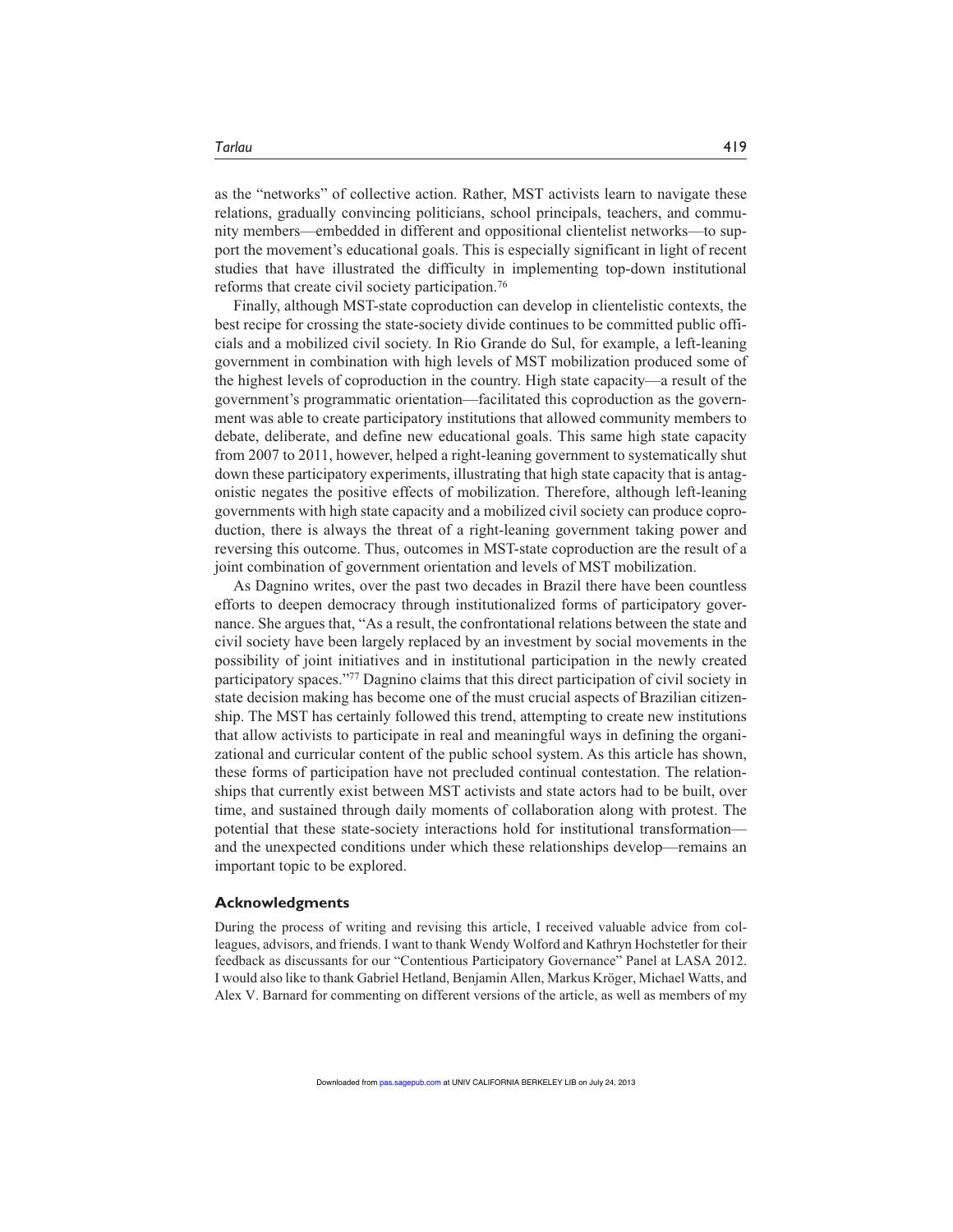as the "networks" of collective action. Rather, MST activists learn to navigate these relations, gradually convincing politicians, school principals, teachers, and community members—embedded in different and oppositional clientelist networks—to support the movement's educational goals. This is especially significant in light of recent studies that have illustrated the difficulty in implementing top-down institutional reforms that create civil society participation.76

Finally, although MST-state coproduction can develop in clientelistic contexts, the best recipe for crossing the state-society divide continues to be committed public officials and a mobilized civil society. In Rio Grande do Sul, for example, a left-leaning government in combination with high levels of MST mobilization produced some of the highest levels of coproduction in the country. High state capacity—a result of the government's programmatic orientation—facilitated this coproduction as the government was able to create participatory institutions that allowed community members to debate, deliberate, and define new educational goals. This same high state capacity from 2007 to 2011, however, helped a right-leaning government to systematically shut down these participatory experiments, illustrating that high state capacity that is antagonistic negates the positive effects of mobilization. Therefore, although left-leaning governments with high state capacity and a mobilized civil society can produce coproduction, there is always the threat of a right-leaning government taking power and reversing this outcome. Thus, outcomes in MST-state coproduction are the result of a joint combination of government orientation and levels of MST mobilization.

As Dagnino writes, over the past two decades in Brazil there have been countless efforts to deepen democracy through institutionalized forms of participatory governance. She argues that, "As a result, the confrontational relations between the state and civil society have been largely replaced by an investment by social movements in the possibility of joint initiatives and in institutional participation in the newly created participatory spaces."77 Dagnino claims that this direct participation of civil society in state decision making has become one of the must crucial aspects of Brazilian citizenship. The MST has certainly followed this trend, attempting to create new institutions that allow activists to participate in real and meaningful ways in defining the organizational and curricular content of the public school system. As this article has shown, these forms of participation have not precluded continual contestation. The relationships that currently exist between MST activists and state actors had to be built, over time, and sustained through daily moments of collaboration along with protest. The potential that these state-society interactions hold for institutional transformation and the unexpected conditions under which these relationships develop—remains an important topic to be explored.

#### **Acknowledgments**

During the process of writing and revising this article, I received valuable advice from colleagues, advisors, and friends. I want to thank Wendy Wolford and Kathryn Hochstetler for their feedback as discussants for our "Contentious Participatory Governance" Panel at LASA 2012. I would also like to thank Gabriel Hetland, Benjamin Allen, Markus Kröger, Michael Watts, and Alex V. Barnard for commenting on different versions of the article, as well as members of my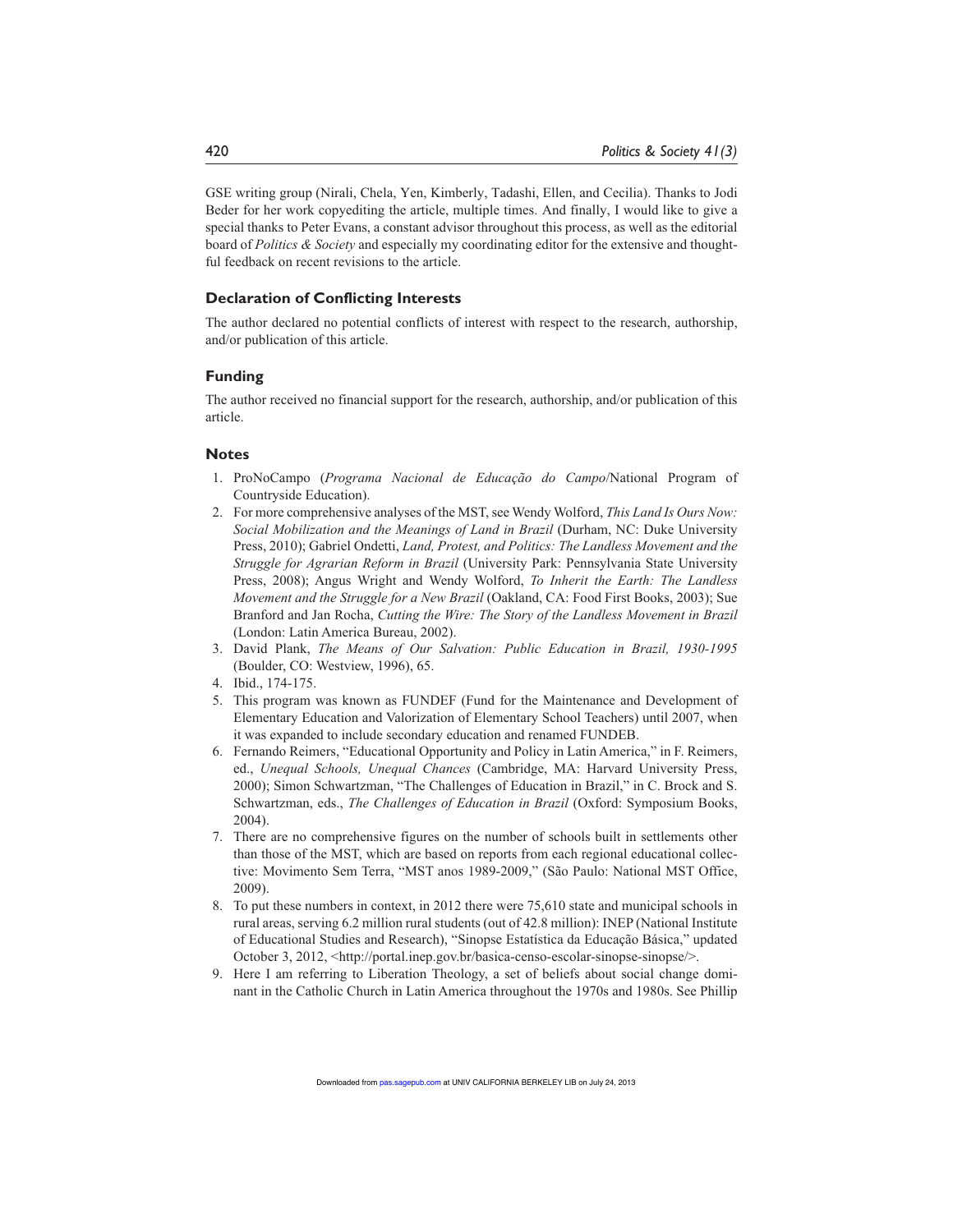GSE writing group (Nirali, Chela, Yen, Kimberly, Tadashi, Ellen, and Cecilia). Thanks to Jodi Beder for her work copyediting the article, multiple times. And finally, I would like to give a special thanks to Peter Evans, a constant advisor throughout this process, as well as the editorial board of *Politics & Society* and especially my coordinating editor for the extensive and thoughtful feedback on recent revisions to the article.

#### **Declaration of Conflicting Interests**

The author declared no potential conflicts of interest with respect to the research, authorship, and/or publication of this article.

## **Funding**

The author received no financial support for the research, authorship, and/or publication of this article.

## **Notes**

- 1. ProNoCampo (*Programa Nacional de Educação do Campo*/National Program of Countryside Education).
- 2. For more comprehensive analyses of the MST, see Wendy Wolford, *This Land Is Ours Now: Social Mobilization and the Meanings of Land in Brazil* (Durham, NC: Duke University Press, 2010); Gabriel Ondetti, *Land, Protest, and Politics: The Landless Movement and the Struggle for Agrarian Reform in Brazil* (University Park: Pennsylvania State University Press, 2008); Angus Wright and Wendy Wolford, *To Inherit the Earth: The Landless Movement and the Struggle for a New Brazil* (Oakland, CA: Food First Books, 2003); Sue Branford and Jan Rocha, *Cutting the Wire: The Story of the Landless Movement in Brazil*  (London: Latin America Bureau, 2002).
- 3. David Plank, *The Means of Our Salvation: Public Education in Brazil, 1930-1995* (Boulder, CO: Westview, 1996), 65.
- 4. Ibid., 174-175.
- 5. This program was known as FUNDEF (Fund for the Maintenance and Development of Elementary Education and Valorization of Elementary School Teachers) until 2007, when it was expanded to include secondary education and renamed FUNDEB.
- 6. Fernando Reimers, "Educational Opportunity and Policy in Latin America," in F. Reimers, ed., *Unequal Schools, Unequal Chances* (Cambridge, MA: Harvard University Press, 2000); Simon Schwartzman, "The Challenges of Education in Brazil," in C. Brock and S. Schwartzman, eds., *The Challenges of Education in Brazil* (Oxford: Symposium Books, 2004).
- 7. There are no comprehensive figures on the number of schools built in settlements other than those of the MST, which are based on reports from each regional educational collective: Movimento Sem Terra, "MST anos 1989-2009," (São Paulo: National MST Office, 2009).
- 8. To put these numbers in context, in 2012 there were 75,610 state and municipal schools in rural areas, serving 6.2 million rural students (out of 42.8 million): INEP (National Institute of Educational Studies and Research), "Sinopse Estatística da Educação Básica," updated October 3, 2012,  $\langle$ http://portal.inep.gov.br/basica-censo-escolar-sinopse-sinopse/>.
- 9. Here I am referring to Liberation Theology, a set of beliefs about social change dominant in the Catholic Church in Latin America throughout the 1970s and 1980s. See Phillip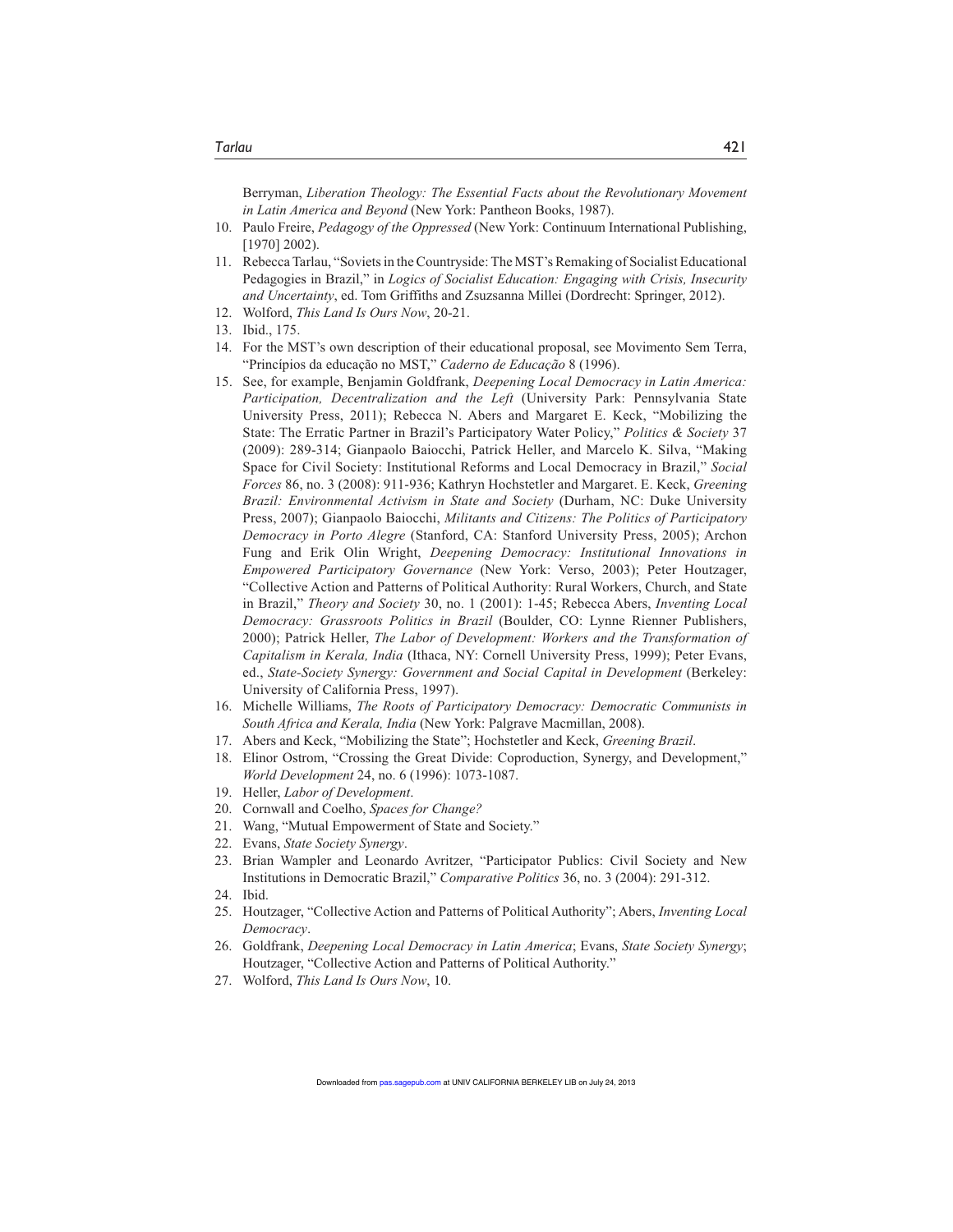Berryman, *Liberation Theology: The Essential Facts about the Revolutionary Movement in Latin America and Beyond* (New York: Pantheon Books, 1987).

- 10. Paulo Freire, *Pedagogy of the Oppressed* (New York: Continuum International Publishing, [1970] 2002).
- 11. Rebecca Tarlau, "Soviets in the Countryside: The MST's Remaking of Socialist Educational Pedagogies in Brazil," in *Logics of Socialist Education: Engaging with Crisis, Insecurity and Uncertainty*, ed. Tom Griffiths and Zsuzsanna Millei (Dordrecht: Springer, 2012).
- 12. Wolford, *This Land Is Ours Now*, 20-21.
- 13. Ibid., 175.
- 14. For the MST's own description of their educational proposal, see Movimento Sem Terra, "Princípios da educação no MST," *Caderno de Educação* 8 (1996).
- 15. See, for example, Benjamin Goldfrank, *Deepening Local Democracy in Latin America: Participation, Decentralization and the Left* (University Park: Pennsylvania State University Press, 2011); Rebecca N. Abers and Margaret E. Keck, "Mobilizing the State: The Erratic Partner in Brazil's Participatory Water Policy," *Politics & Society* 37 (2009): 289-314; Gianpaolo Baiocchi, Patrick Heller, and Marcelo K. Silva, "Making Space for Civil Society: Institutional Reforms and Local Democracy in Brazil," *Social Forces* 86, no. 3 (2008): 911-936; Kathryn Hochstetler and Margaret. E. Keck, *Greening Brazil: Environmental Activism in State and Society* (Durham, NC: Duke University Press, 2007); Gianpaolo Baiocchi, *Militants and Citizens: The Politics of Participatory Democracy in Porto Alegre* (Stanford, CA: Stanford University Press, 2005); Archon Fung and Erik Olin Wright, *Deepening Democracy: Institutional Innovations in Empowered Participatory Governance* (New York: Verso, 2003); Peter Houtzager, "Collective Action and Patterns of Political Authority: Rural Workers, Church, and State in Brazil," *Theory and Society* 30, no. 1 (2001): 1-45; Rebecca Abers, *Inventing Local Democracy: Grassroots Politics in Brazil* (Boulder, CO: Lynne Rienner Publishers, 2000); Patrick Heller, *The Labor of Development: Workers and the Transformation of Capitalism in Kerala, India* (Ithaca, NY: Cornell University Press, 1999); Peter Evans, ed., *State-Society Synergy: Government and Social Capital in Development* (Berkeley: University of California Press, 1997).
- 16. Michelle Williams, *The Roots of Participatory Democracy: Democratic Communists in South Africa and Kerala, India* (New York: Palgrave Macmillan, 2008).
- 17. Abers and Keck, "Mobilizing the State"; Hochstetler and Keck, *Greening Brazil*.
- 18. Elinor Ostrom, "Crossing the Great Divide: Coproduction, Synergy, and Development," *World Development* 24, no. 6 (1996): 1073-1087.
- 19. Heller, *Labor of Development*.
- 20. Cornwall and Coelho, *Spaces for Change?*
- 21. Wang, "Mutual Empowerment of State and Society."
- 22. Evans, *State Society Synergy*.
- 23. Brian Wampler and Leonardo Avritzer, "Participator Publics: Civil Society and New Institutions in Democratic Brazil," *Comparative Politics* 36, no. 3 (2004): 291-312.
- 24. Ibid.
- 25. Houtzager, "Collective Action and Patterns of Political Authority"; Abers, *Inventing Local Democracy*.
- 26. Goldfrank, *Deepening Local Democracy in Latin America*; Evans, *State Society Synergy*; Houtzager, "Collective Action and Patterns of Political Authority."
- 27. Wolford, *This Land Is Ours Now*, 10.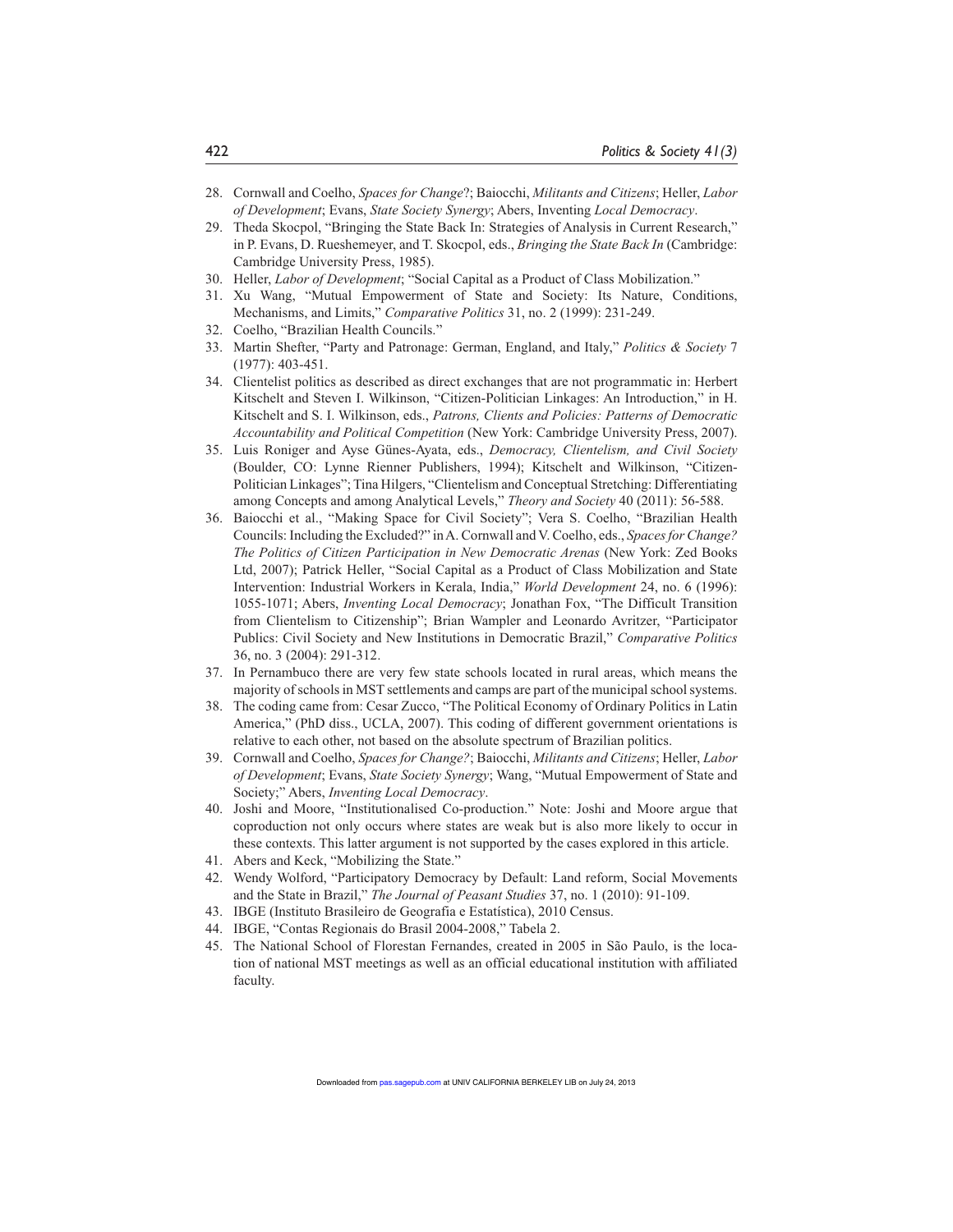- 28. Cornwall and Coelho, *Spaces for Change*?; Baiocchi, *Militants and Citizens*; Heller, *Labor of Development*; Evans, *State Society Synergy*; Abers, Inventing *Local Democracy*.
- 29. Theda Skocpol, "Bringing the State Back In: Strategies of Analysis in Current Research," in P. Evans, D. Rueshemeyer, and T. Skocpol, eds., *Bringing the State Back In* (Cambridge: Cambridge University Press, 1985).
- 30. Heller, *Labor of Development*; "Social Capital as a Product of Class Mobilization."
- 31. Xu Wang, "Mutual Empowerment of State and Society: Its Nature, Conditions, Mechanisms, and Limits," *Comparative Politics* 31, no. 2 (1999): 231-249.
- 32. Coelho, "Brazilian Health Councils."
- 33. Martin Shefter, "Party and Patronage: German, England, and Italy," *Politics & Society* 7 (1977): 403-451.
- 34. Clientelist politics as described as direct exchanges that are not programmatic in: Herbert Kitschelt and Steven I. Wilkinson, "Citizen-Politician Linkages: An Introduction," in H. Kitschelt and S. I. Wilkinson, eds., *Patrons, Clients and Policies: Patterns of Democratic Accountability and Political Competition* (New York: Cambridge University Press, 2007).
- 35. Luis Roniger and Ayse Günes-Ayata, eds., *Democracy, Clientelism, and Civil Society* (Boulder, CO: Lynne Rienner Publishers, 1994); Kitschelt and Wilkinson, "Citizen-Politician Linkages"; Tina Hilgers, "Clientelism and Conceptual Stretching: Differentiating among Concepts and among Analytical Levels," *Theory and Society* 40 (2011): 56-588.
- 36. Baiocchi et al., "Making Space for Civil Society"; Vera S. Coelho, "Brazilian Health Councils: Including the Excluded?" in A. Cornwall and V. Coelho, eds., *Spaces for Change? The Politics of Citizen Participation in New Democratic Arenas* (New York: Zed Books Ltd, 2007); Patrick Heller, "Social Capital as a Product of Class Mobilization and State Intervention: Industrial Workers in Kerala, India," *World Development* 24, no. 6 (1996): 1055-1071; Abers, *Inventing Local Democracy*; Jonathan Fox, "The Difficult Transition from Clientelism to Citizenship"; Brian Wampler and Leonardo Avritzer, "Participator Publics: Civil Society and New Institutions in Democratic Brazil," *Comparative Politics* 36, no. 3 (2004): 291-312.
- 37. In Pernambuco there are very few state schools located in rural areas, which means the majority of schools in MST settlements and camps are part of the municipal school systems.
- 38. The coding came from: Cesar Zucco, "The Political Economy of Ordinary Politics in Latin America," (PhD diss., UCLA, 2007). This coding of different government orientations is relative to each other, not based on the absolute spectrum of Brazilian politics.
- 39. Cornwall and Coelho, *Spaces for Change?*; Baiocchi, *Militants and Citizens*; Heller, *Labor of Development*; Evans, *State Society Synergy*; Wang, "Mutual Empowerment of State and Society;" Abers, *Inventing Local Democracy*.
- 40. Joshi and Moore, "Institutionalised Co-production." Note: Joshi and Moore argue that coproduction not only occurs where states are weak but is also more likely to occur in these contexts. This latter argument is not supported by the cases explored in this article.
- 41. Abers and Keck, "Mobilizing the State."
- 42. Wendy Wolford, "Participatory Democracy by Default: Land reform, Social Movements and the State in Brazil," *The Journal of Peasant Studies* 37, no. 1 (2010): 91-109.
- 43. IBGE (Instituto Brasileiro de Geografia e Estatística), 2010 Census.
- 44. IBGE, "Contas Regionais do Brasil 2004-2008," Tabela 2.
- 45. The National School of Florestan Fernandes, created in 2005 in São Paulo, is the location of national MST meetings as well as an official educational institution with affiliated faculty.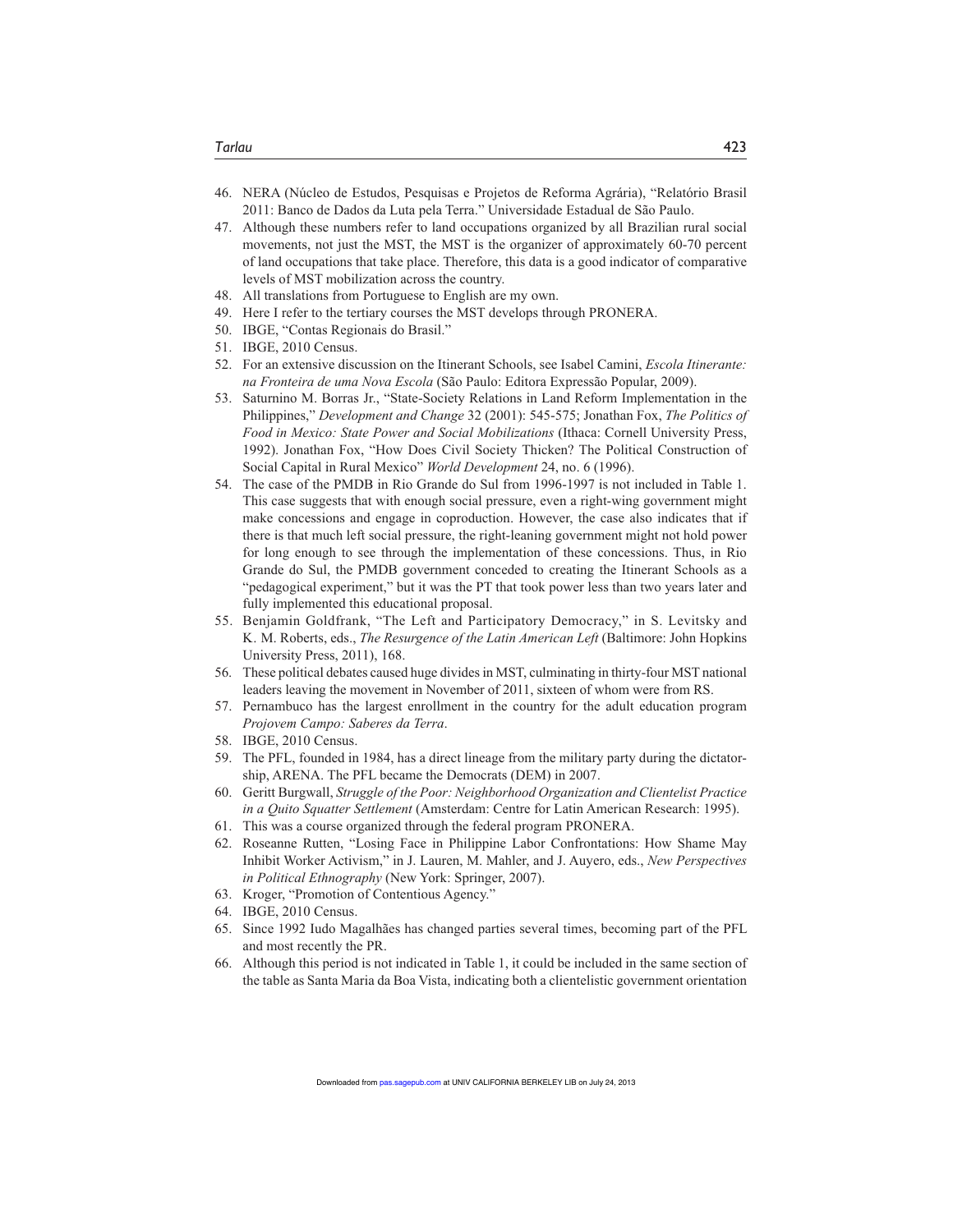- 46. NERA (Núcleo de Estudos, Pesquisas e Projetos de Reforma Agrária), "Relatório Brasil 2011: Banco de Dados da Luta pela Terra." Universidade Estadual de São Paulo.
- 47. Although these numbers refer to land occupations organized by all Brazilian rural social movements, not just the MST, the MST is the organizer of approximately 60-70 percent of land occupations that take place. Therefore, this data is a good indicator of comparative levels of MST mobilization across the country.
- 48. All translations from Portuguese to English are my own.
- 49. Here I refer to the tertiary courses the MST develops through PRONERA.
- 50. IBGE, "Contas Regionais do Brasil."
- 51. IBGE, 2010 Census.
- 52. For an extensive discussion on the Itinerant Schools, see Isabel Camini, *Escola Itinerante: na Fronteira de uma Nova Escola* (São Paulo: Editora Expressão Popular, 2009).
- 53. Saturnino M. Borras Jr., "State-Society Relations in Land Reform Implementation in the Philippines," *Development and Change* 32 (2001): 545-575; Jonathan Fox, *The Politics of Food in Mexico: State Power and Social Mobilizations* (Ithaca: Cornell University Press, 1992). Jonathan Fox, "How Does Civil Society Thicken? The Political Construction of Social Capital in Rural Mexico" *World Development* 24, no. 6 (1996).
- 54. The case of the PMDB in Rio Grande do Sul from 1996-1997 is not included in Table 1. This case suggests that with enough social pressure, even a right-wing government might make concessions and engage in coproduction. However, the case also indicates that if there is that much left social pressure, the right-leaning government might not hold power for long enough to see through the implementation of these concessions. Thus, in Rio Grande do Sul, the PMDB government conceded to creating the Itinerant Schools as a "pedagogical experiment," but it was the PT that took power less than two years later and fully implemented this educational proposal.
- 55. Benjamin Goldfrank, "The Left and Participatory Democracy," in S. Levitsky and K. M. Roberts, eds., *The Resurgence of the Latin American Left* (Baltimore: John Hopkins University Press, 2011), 168.
- 56. These political debates caused huge divides in MST, culminating in thirty-four MST national leaders leaving the movement in November of 2011, sixteen of whom were from RS.
- 57. Pernambuco has the largest enrollment in the country for the adult education program *Projovem Campo: Saberes da Terra*.
- 58. IBGE, 2010 Census.
- 59. The PFL, founded in 1984, has a direct lineage from the military party during the dictatorship, ARENA. The PFL became the Democrats (DEM) in 2007.
- 60. Geritt Burgwall, *Struggle of the Poor: Neighborhood Organization and Clientelist Practice in a Quito Squatter Settlement* (Amsterdam: Centre for Latin American Research: 1995).
- 61. This was a course organized through the federal program PRONERA.
- 62. Roseanne Rutten, "Losing Face in Philippine Labor Confrontations: How Shame May Inhibit Worker Activism," in J. Lauren, M. Mahler, and J. Auyero, eds., *New Perspectives in Political Ethnography* (New York: Springer, 2007).
- 63. Kroger, "Promotion of Contentious Agency."
- 64. IBGE, 2010 Census.
- 65. Since 1992 Iudo Magalhães has changed parties several times, becoming part of the PFL and most recently the PR.
- 66. Although this period is not indicated in Table 1, it could be included in the same section of the table as Santa Maria da Boa Vista, indicating both a clientelistic government orientation